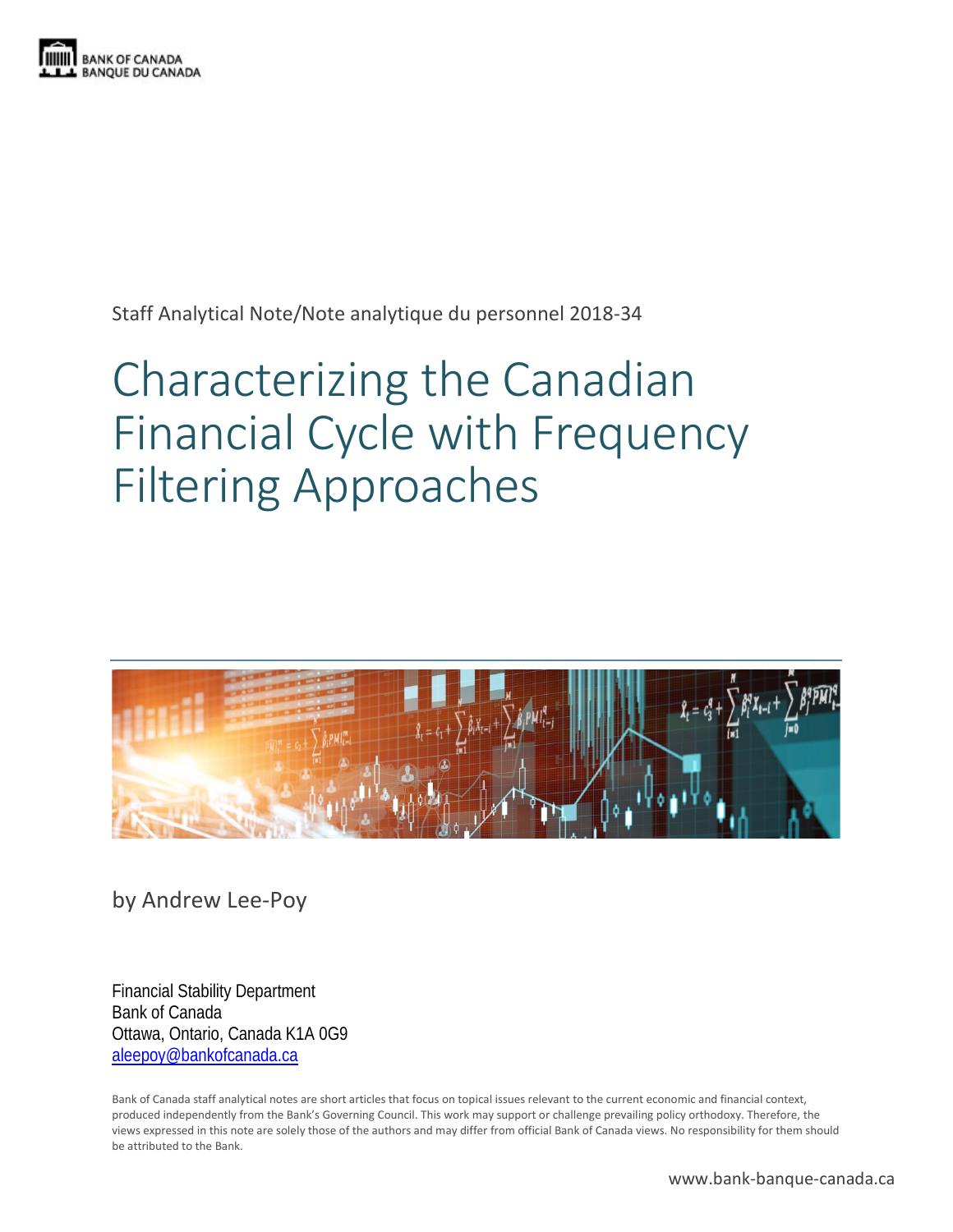

Staff Analytical Note/Note analytique du personnel 2018-34

# Characterizing the Canadian Financial Cycle with Frequency Filtering Approaches



by Andrew Lee-Poy

Financial Stability Department Bank of Canada Ottawa, Ontario, Canada K1A 0G9 [aleepoy@bankofcanada.ca](mailto:aleepoy@bankofcanada.ca)

Bank of Canada staff analytical notes are short articles that focus on topical issues relevant to the current economic and financial context, produced independently from the Bank's Governing Council. This work may support or challenge prevailing policy orthodoxy. Therefore, the views expressed in this note are solely those of the authors and may differ from official Bank of Canada views. No responsibility for them should be attributed to the Bank.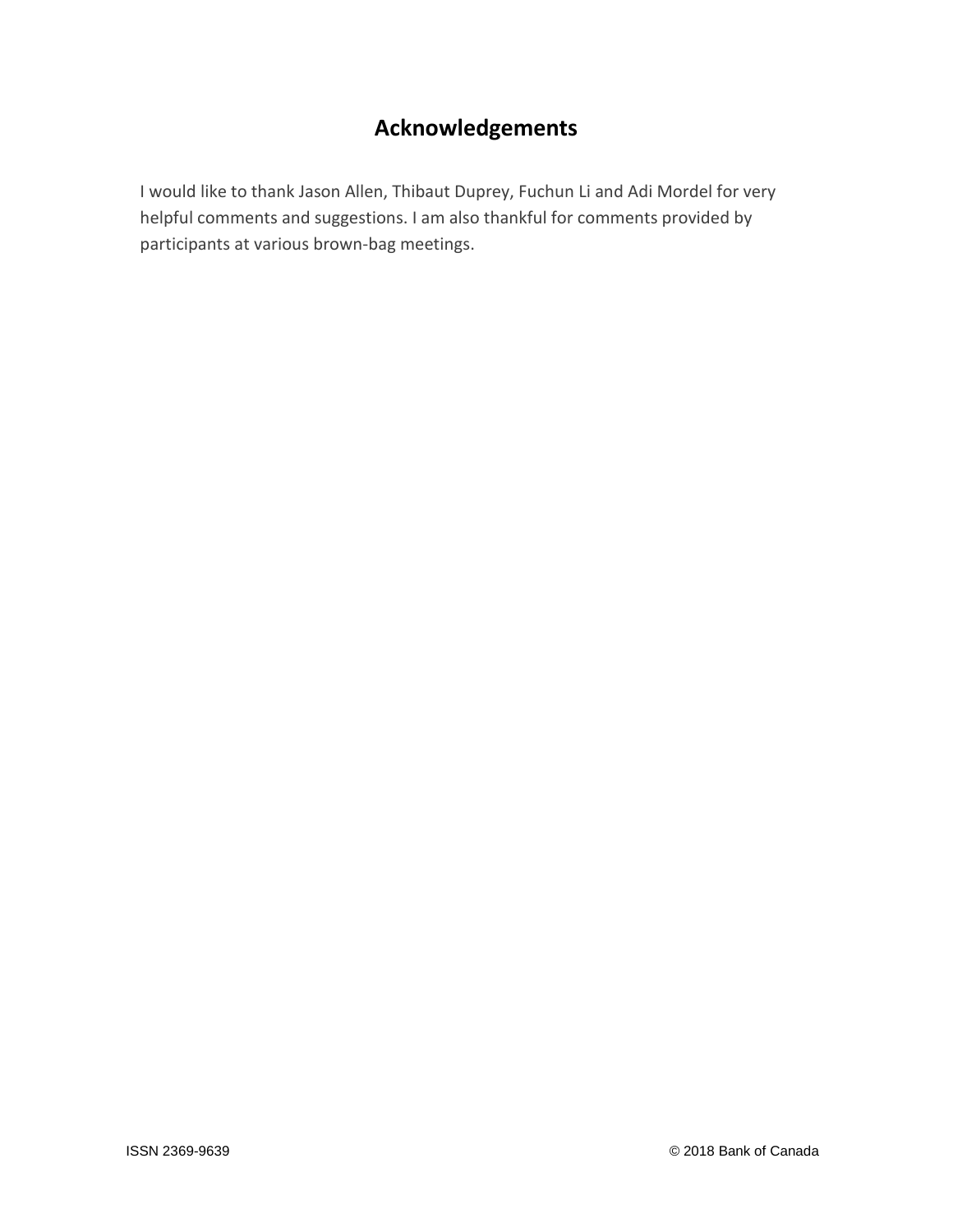# **Acknowledgements**

I would like to thank Jason Allen, Thibaut Duprey, Fuchun Li and Adi Mordel for very helpful comments and suggestions. I am also thankful for comments provided by participants at various brown-bag meetings.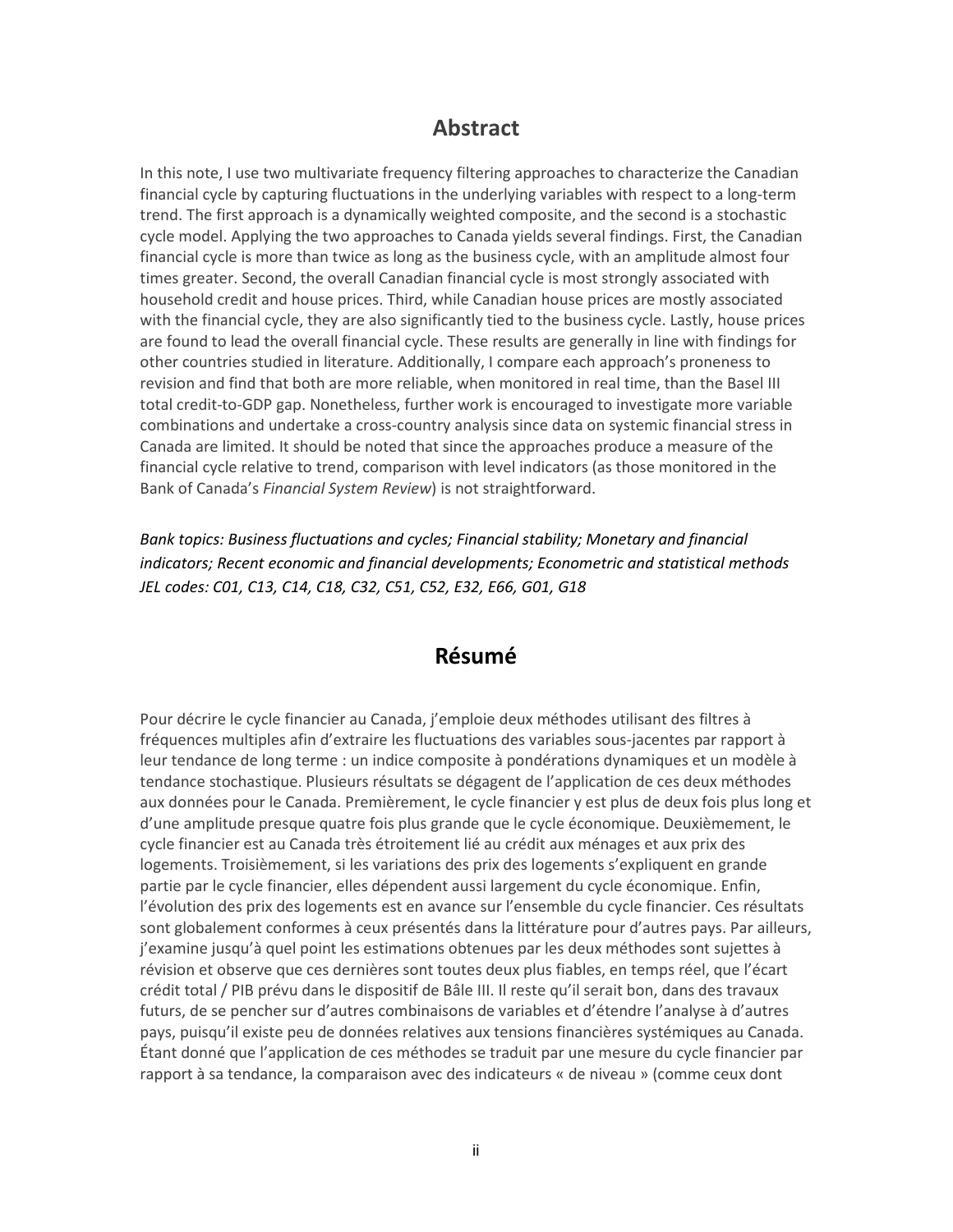### **Abstract**

In this note, I use two multivariate frequency filtering approaches to characterize the Canadian financial cycle by capturing fluctuations in the underlying variables with respect to a long-term trend. The first approach is a dynamically weighted composite, and the second is a stochastic cycle model. Applying the two approaches to Canada yields several findings. First, the Canadian financial cycle is more than twice as long as the business cycle, with an amplitude almost four times greater. Second, the overall Canadian financial cycle is most strongly associated with household credit and house prices. Third, while Canadian house prices are mostly associated with the financial cycle, they are also significantly tied to the business cycle. Lastly, house prices are found to lead the overall financial cycle. These results are generally in line with findings for other countries studied in literature. Additionally, I compare each approach's proneness to revision and find that both are more reliable, when monitored in real time, than the Basel III total credit-to-GDP gap. Nonetheless, further work is encouraged to investigate more variable combinations and undertake a cross-country analysis since data on systemic financial stress in Canada are limited. It should be noted that since the approaches produce a measure of the financial cycle relative to trend, comparison with level indicators (as those monitored in the Bank of Canada's *Financial System Review*) is not straightforward.

*Bank topics: Business fluctuations and cycles; Financial stability; Monetary and financial indicators; Recent economic and financial developments; Econometric and statistical methods JEL codes: C01, C13, C14, C18, C32, C51, C52, E32, E66, G01, G18*

### **Résumé**

Pour décrire le cycle financier au Canada, j'emploie deux méthodes utilisant des filtres à fréquences multiples afin d'extraire les fluctuations des variables sous-jacentes par rapport à leur tendance de long terme : un indice composite à pondérations dynamiques et un modèle à tendance stochastique. Plusieurs résultats se dégagent de l'application de ces deux méthodes aux données pour le Canada. Premièrement, le cycle financier y est plus de deux fois plus long et d'une amplitude presque quatre fois plus grande que le cycle économique. Deuxièmement, le cycle financier est au Canada très étroitement lié au crédit aux ménages et aux prix des logements. Troisièmement, si les variations des prix des logements s'expliquent en grande partie par le cycle financier, elles dépendent aussi largement du cycle économique. Enfin, l'évolution des prix des logements est en avance sur l'ensemble du cycle financier. Ces résultats sont globalement conformes à ceux présentés dans la littérature pour d'autres pays. Par ailleurs, j'examine jusqu'à quel point les estimations obtenues par les deux méthodes sont sujettes à révision et observe que ces dernières sont toutes deux plus fiables, en temps réel, que l'écart crédit total / PIB prévu dans le dispositif de Bâle III. Il reste qu'il serait bon, dans des travaux futurs, de se pencher sur d'autres combinaisons de variables et d'étendre l'analyse à d'autres pays, puisqu'il existe peu de données relatives aux tensions financières systémiques au Canada. Étant donné que l'application de ces méthodes se traduit par une mesure du cycle financier par rapport à sa tendance, la comparaison avec des indicateurs « de niveau » (comme ceux dont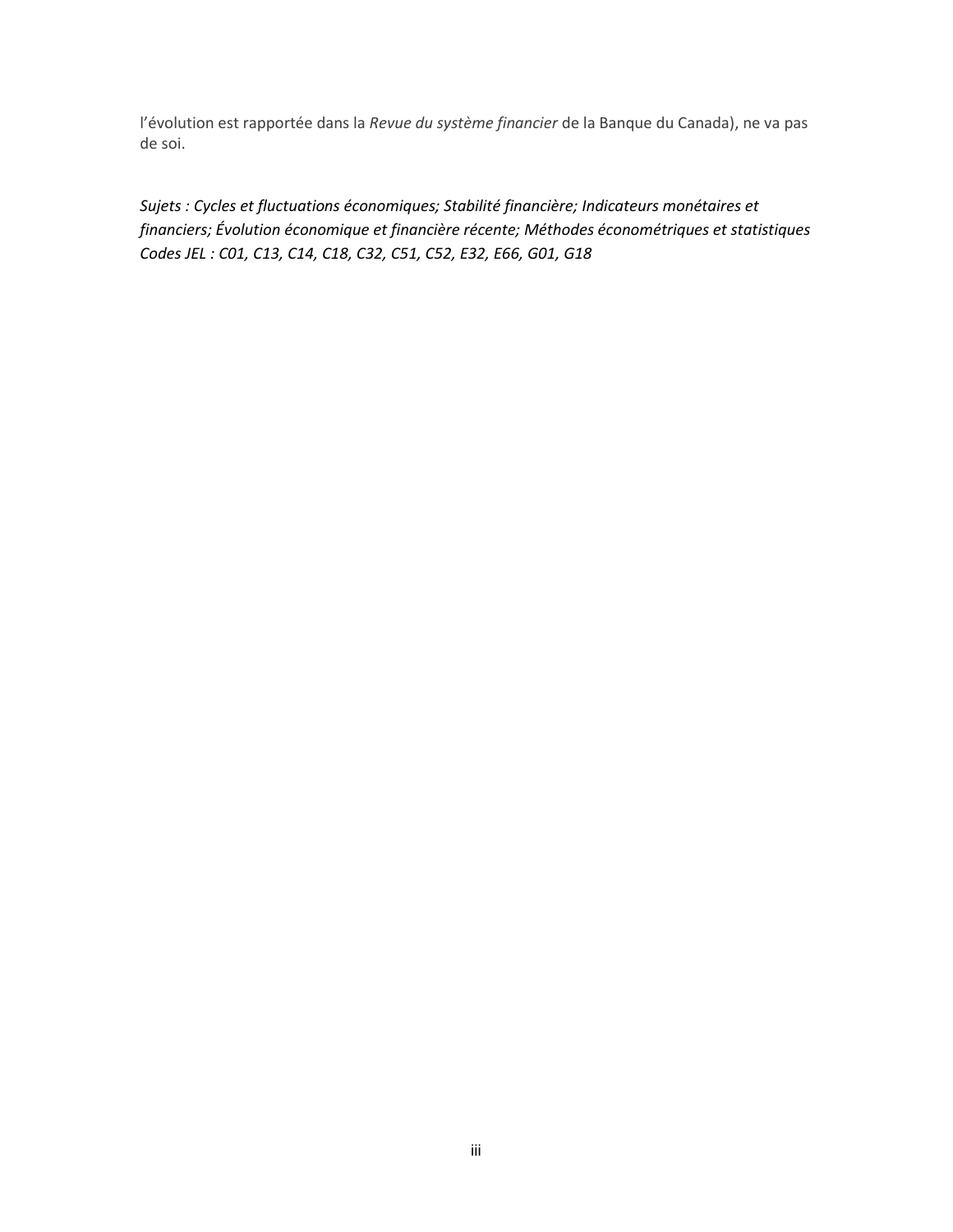l'évolution est rapportée dans la *Revue du système financier* de la Banque du Canada), ne va pas de soi.

*Sujets : Cycles et fluctuations économiques; Stabilité financière; Indicateurs monétaires et financiers; Évolution économique et financière récente; Méthodes économétriques et statistiques Codes JEL : C01, C13, C14, C18, C32, C51, C52, E32, E66, G01, G18*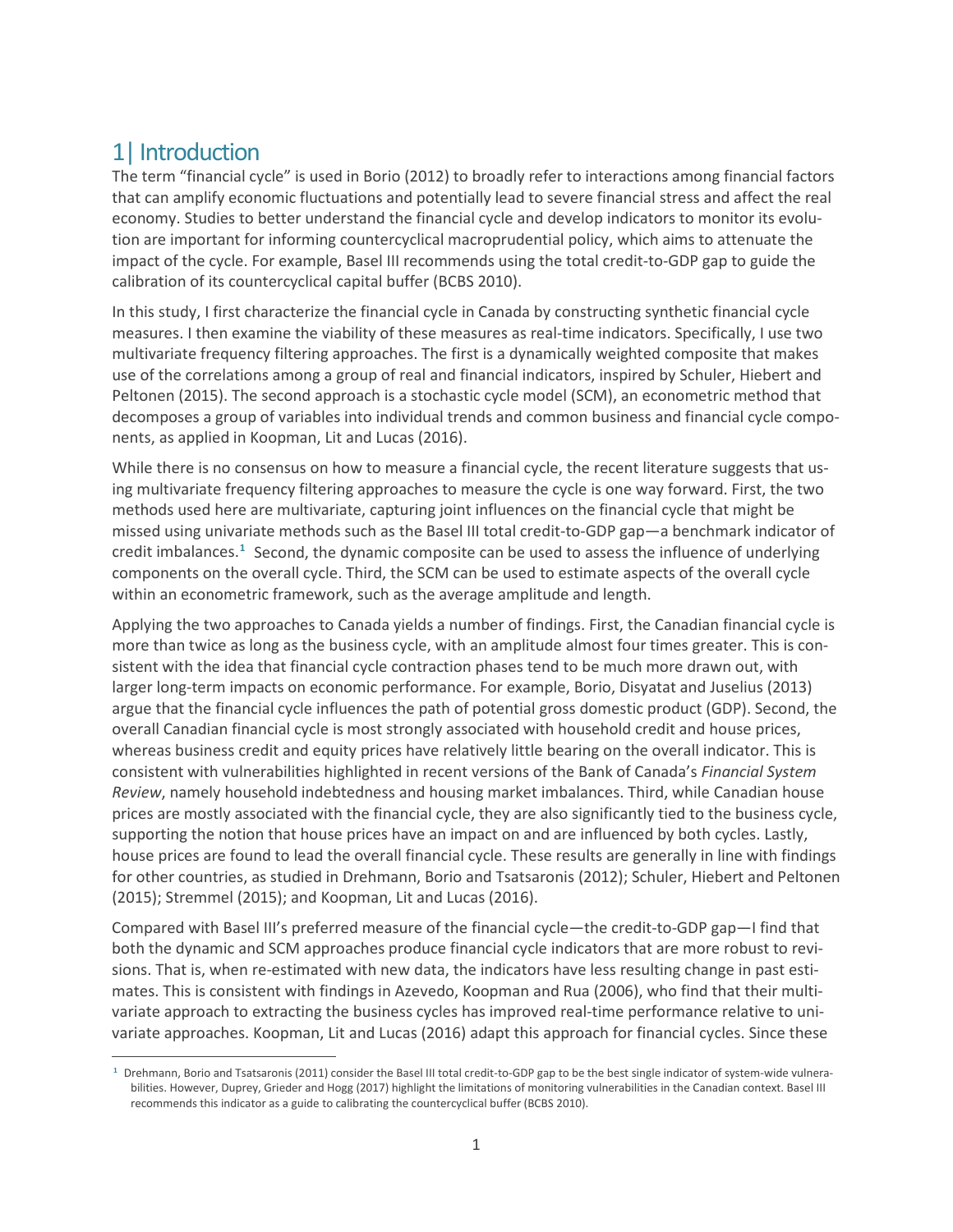# 1| Introduction

The term "financial cycle" is used in Borio (2012) to broadly refer to interactions among financial factors that can amplify economic fluctuations and potentially lead to severe financial stress and affect the real economy. Studies to better understand the financial cycle and develop indicators to monitor its evolution are important for informing countercyclical macroprudential policy, which aims to attenuate the impact of the cycle. For example, Basel III recommends using the total credit-to-GDP gap to guide the calibration of its countercyclical capital buffer (BCBS 2010).

In this study, I first characterize the financial cycle in Canada by constructing synthetic financial cycle measures. I then examine the viability of these measures as real-time indicators. Specifically, I use two multivariate frequency filtering approaches. The first is a dynamically weighted composite that makes use of the correlations among a group of real and financial indicators, inspired by Schuler, Hiebert and Peltonen (2015). The second approach is a stochastic cycle model (SCM), an econometric method that decomposes a group of variables into individual trends and common business and financial cycle components, as applied in Koopman, Lit and Lucas (2016).

While there is no consensus on how to measure a financial cycle, the recent literature suggests that using multivariate frequency filtering approaches to measure the cycle is one way forward. First, the two methods used here are multivariate, capturing joint influences on the financial cycle that might be missed using univariate methods such as the Basel III total credit-to-GDP gap—a benchmark indicator of credit imbalances.**[1](#page-4-0)** Second, the dynamic composite can be used to assess the influence of underlying components on the overall cycle. Third, the SCM can be used to estimate aspects of the overall cycle within an econometric framework, such as the average amplitude and length.

Applying the two approaches to Canada yields a number of findings. First, the Canadian financial cycle is more than twice as long as the business cycle, with an amplitude almost four times greater. This is consistent with the idea that financial cycle contraction phases tend to be much more drawn out, with larger long-term impacts on economic performance. For example, Borio, Disyatat and Juselius (2013) argue that the financial cycle influences the path of potential gross domestic product (GDP). Second, the overall Canadian financial cycle is most strongly associated with household credit and house prices, whereas business credit and equity prices have relatively little bearing on the overall indicator. This is consistent with vulnerabilities highlighted in recent versions of the Bank of Canada's *Financial System Review*, namely household indebtedness and housing market imbalances. Third, while Canadian house prices are mostly associated with the financial cycle, they are also significantly tied to the business cycle, supporting the notion that house prices have an impact on and are influenced by both cycles. Lastly, house prices are found to lead the overall financial cycle. These results are generally in line with findings for other countries, as studied in Drehmann, Borio and Tsatsaronis (2012); Schuler, Hiebert and Peltonen (2015); Stremmel (2015); and Koopman, Lit and Lucas (2016).

Compared with Basel III's preferred measure of the financial cycle—the credit-to-GDP gap—I find that both the dynamic and SCM approaches produce financial cycle indicators that are more robust to revisions. That is, when re-estimated with new data, the indicators have less resulting change in past estimates. This is consistent with findings in Azevedo, Koopman and Rua (2006), who find that their multivariate approach to extracting the business cycles has improved real-time performance relative to univariate approaches. Koopman, Lit and Lucas (2016) adapt this approach for financial cycles. Since these

<span id="page-4-0"></span> $\overline{a}$ **<sup>1</sup>** Drehmann, Borio and Tsatsaronis (2011) consider the Basel III total credit-to-GDP gap to be the best single indicator of system-wide vulnerabilities. However, Duprey, Grieder and Hogg (2017) highlight the limitations of monitoring vulnerabilities in the Canadian context. Basel III recommends this indicator as a guide to calibrating the countercyclical buffer (BCBS 2010).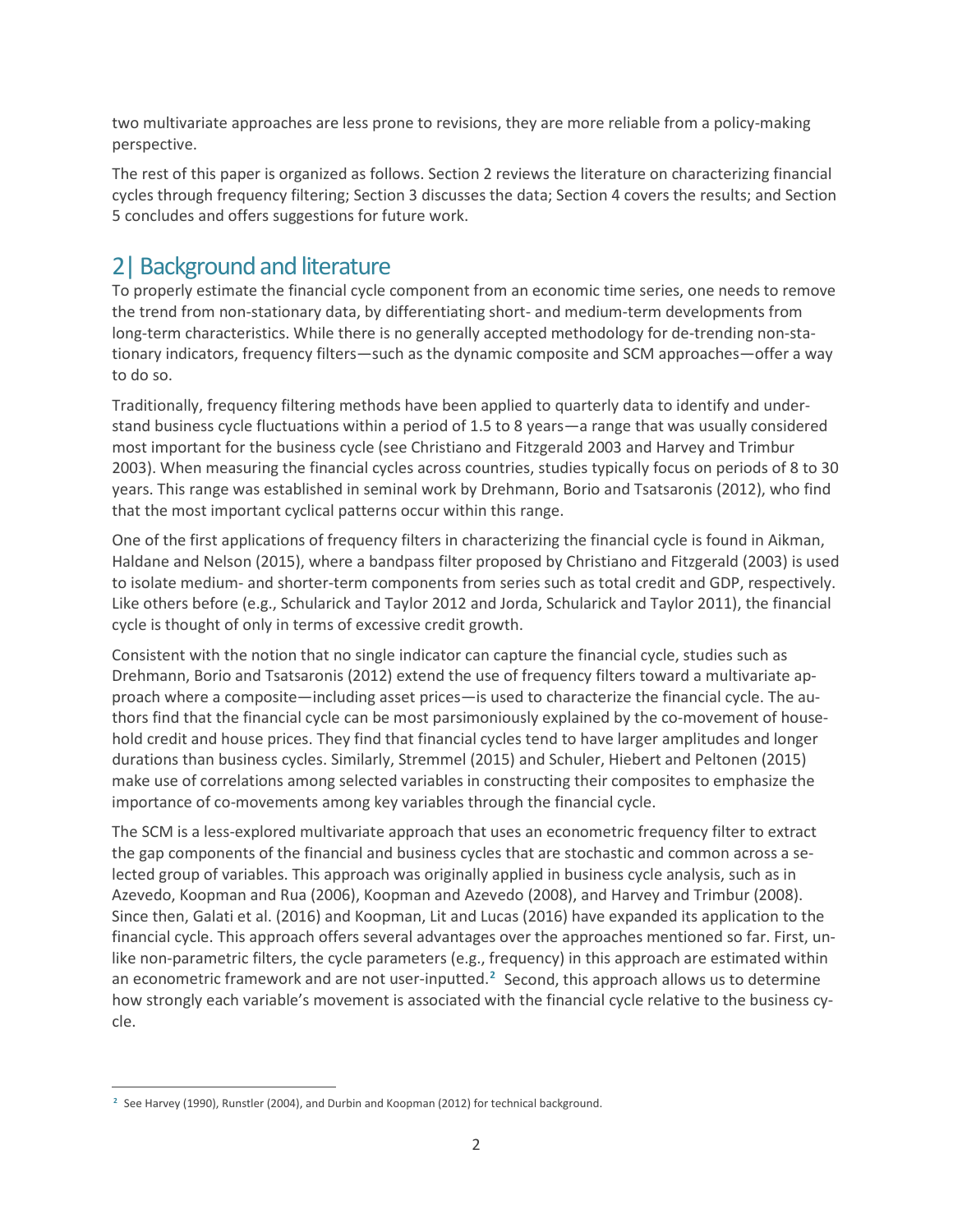two multivariate approaches are less prone to revisions, they are more reliable from a policy-making perspective.

The rest of this paper is organized as follows. Section 2 reviews the literature on characterizing financial cycles through frequency filtering; Section 3 discusses the data; Section 4 covers the results; and Section 5 concludes and offers suggestions for future work.

# 2|Background and literature

To properly estimate the financial cycle component from an economic time series, one needs to remove the trend from non-stationary data, by differentiating short- and medium-term developments from long-term characteristics. While there is no generally accepted methodology for de-trending non-stationary indicators, frequency filters—such as the dynamic composite and SCM approaches—offer a way to do so.

Traditionally, frequency filtering methods have been applied to quarterly data to identify and understand business cycle fluctuations within a period of 1.5 to 8 years—a range that was usually considered most important for the business cycle (see Christiano and Fitzgerald 2003 and Harvey and Trimbur 2003). When measuring the financial cycles across countries, studies typically focus on periods of 8 to 30 years. This range was established in seminal work by Drehmann, Borio and Tsatsaronis (2012), who find that the most important cyclical patterns occur within this range.

One of the first applications of frequency filters in characterizing the financial cycle is found in Aikman, Haldane and Nelson (2015), where a bandpass filter proposed by Christiano and Fitzgerald (2003) is used to isolate medium- and shorter-term components from series such as total credit and GDP, respectively. Like others before (e.g., Schularick and Taylor 2012 and Jorda, Schularick and Taylor 2011), the financial cycle is thought of only in terms of excessive credit growth.

Consistent with the notion that no single indicator can capture the financial cycle, studies such as Drehmann, Borio and Tsatsaronis (2012) extend the use of frequency filters toward a multivariate approach where a composite—including asset prices—is used to characterize the financial cycle. The authors find that the financial cycle can be most parsimoniously explained by the co-movement of household credit and house prices. They find that financial cycles tend to have larger amplitudes and longer durations than business cycles. Similarly, Stremmel (2015) and Schuler, Hiebert and Peltonen (2015) make use of correlations among selected variables in constructing their composites to emphasize the importance of co-movements among key variables through the financial cycle.

The SCM is a less-explored multivariate approach that uses an econometric frequency filter to extract the gap components of the financial and business cycles that are stochastic and common across a selected group of variables. This approach was originally applied in business cycle analysis, such as in Azevedo, Koopman and Rua (2006), Koopman and Azevedo (2008), and Harvey and Trimbur (2008). Since then, Galati et al. (2016) and Koopman, Lit and Lucas (2016) have expanded its application to the financial cycle. This approach offers several advantages over the approaches mentioned so far. First, unlike non-parametric filters, the cycle parameters (e.g., frequency) in this approach are estimated within an econometric framework and are not user-inputted.**[2](#page-5-0)** Second, this approach allows us to determine how strongly each variable's movement is associated with the financial cycle relative to the business cycle.

<span id="page-5-0"></span> $\overline{a}$ <sup>2</sup> See Harvey (1990), Runstler (2004), and Durbin and Koopman (2012) for technical background.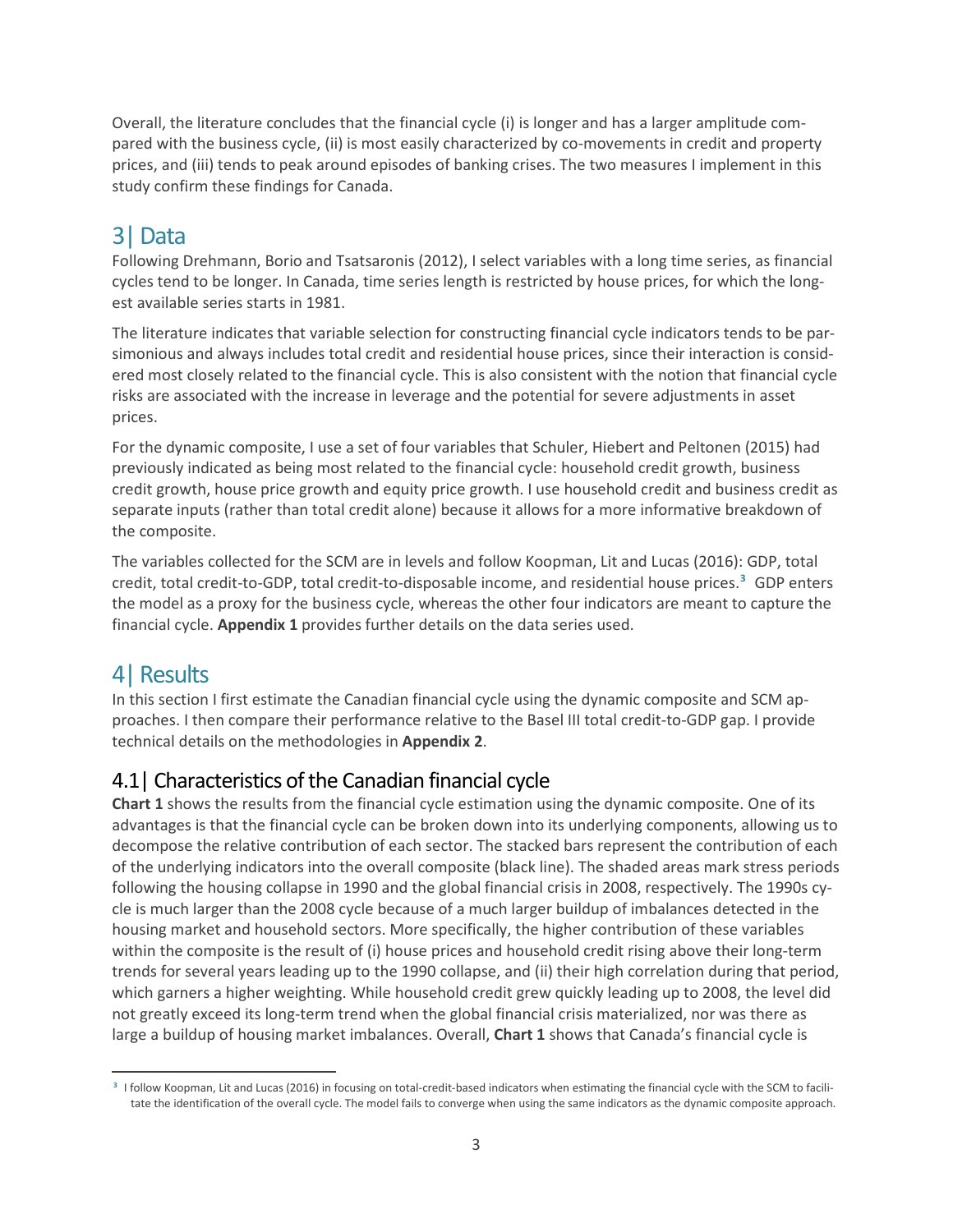Overall, the literature concludes that the financial cycle (i) is longer and has a larger amplitude compared with the business cycle, (ii) is most easily characterized by co-movements in credit and property prices, and (iii) tends to peak around episodes of banking crises. The two measures I implement in this study confirm these findings for Canada.

# 3|Data

Following Drehmann, Borio and Tsatsaronis (2012), I select variables with a long time series, as financial cycles tend to be longer. In Canada, time series length is restricted by house prices, for which the longest available series starts in 1981.

The literature indicates that variable selection for constructing financial cycle indicators tends to be parsimonious and always includes total credit and residential house prices, since their interaction is considered most closely related to the financial cycle. This is also consistent with the notion that financial cycle risks are associated with the increase in leverage and the potential for severe adjustments in asset prices.

For the dynamic composite, I use a set of four variables that Schuler, Hiebert and Peltonen (2015) had previously indicated as being most related to the financial cycle: household credit growth, business credit growth, house price growth and equity price growth. I use household credit and business credit as separate inputs (rather than total credit alone) because it allows for a more informative breakdown of the composite.

The variables collected for the SCM are in levels and follow Koopman, Lit and Lucas (2016): GDP, total credit, total credit-to-GDP, total credit-to-disposable income, and residential house prices.**[3](#page-6-0)** GDP enters the model as a proxy for the business cycle, whereas the other four indicators are meant to capture the financial cycle. **Appendix 1** provides further details on the data series used.

# 4| Results

In this section I first estimate the Canadian financial cycle using the dynamic composite and SCM approaches. I then compare their performance relative to the Basel III total credit-to-GDP gap. I provide technical details on the methodologies in **Appendix 2**.

### 4.1| Characteristics of the Canadian financial cycle

**Chart 1** shows the results from the financial cycle estimation using the dynamic composite. One of its advantages is that the financial cycle can be broken down into its underlying components, allowing us to decompose the relative contribution of each sector. The stacked bars represent the contribution of each of the underlying indicators into the overall composite (black line). The shaded areas mark stress periods following the housing collapse in 1990 and the global financial crisis in 2008, respectively. The 1990s cycle is much larger than the 2008 cycle because of a much larger buildup of imbalances detected in the housing market and household sectors. More specifically, the higher contribution of these variables within the composite is the result of (i) house prices and household credit rising above their long-term trends for several years leading up to the 1990 collapse, and (ii) their high correlation during that period, which garners a higher weighting. While household credit grew quickly leading up to 2008, the level did not greatly exceed its long-term trend when the global financial crisis materialized, nor was there as large a buildup of housing market imbalances. Overall, **Chart 1** shows that Canada's financial cycle is

<span id="page-6-0"></span> $\overline{a}$ **<sup>3</sup>** I follow Koopman, Lit and Lucas (2016) in focusing on total-credit-based indicators when estimating the financial cycle with the SCM to facilitate the identification of the overall cycle. The model fails to converge when using the same indicators as the dynamic composite approach.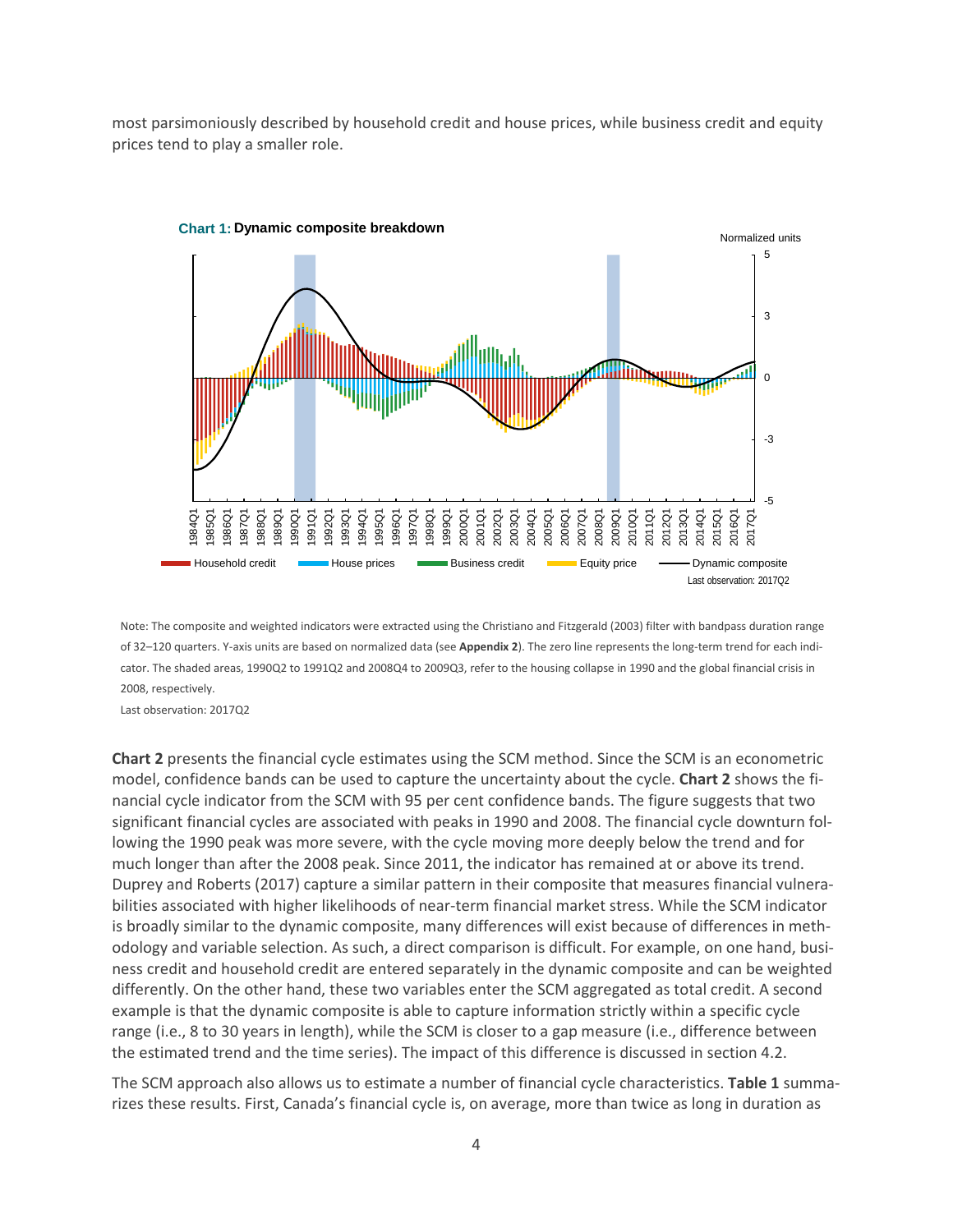most parsimoniously described by household credit and house prices, while business credit and equity prices tend to play a smaller role.



Note: The composite and weighted indicators were extracted using the Christiano and Fitzgerald (2003) filter with bandpass duration range of 32–120 quarters. Y-axis units are based on normalized data (see **Appendix 2**). The zero line represents the long-term trend for each indicator. The shaded areas, 1990Q2 to 1991Q2 and 2008Q4 to 2009Q3, refer to the housing collapse in 1990 and the global financial crisis in 2008, respectively.

Last observation: 2017Q2

**Chart 2** presents the financial cycle estimates using the SCM method. Since the SCM is an econometric model, confidence bands can be used to capture the uncertainty about the cycle. **Chart 2** shows the financial cycle indicator from the SCM with 95 per cent confidence bands. The figure suggests that two significant financial cycles are associated with peaks in 1990 and 2008. The financial cycle downturn following the 1990 peak was more severe, with the cycle moving more deeply below the trend and for much longer than after the 2008 peak. Since 2011, the indicator has remained at or above its trend. Duprey and Roberts (2017) capture a similar pattern in their composite that measures financial vulnerabilities associated with higher likelihoods of near-term financial market stress. While the SCM indicator is broadly similar to the dynamic composite, many differences will exist because of differences in methodology and variable selection. As such, a direct comparison is difficult. For example, on one hand, business credit and household credit are entered separately in the dynamic composite and can be weighted differently. On the other hand, these two variables enter the SCM aggregated as total credit. A second example is that the dynamic composite is able to capture information strictly within a specific cycle range (i.e., 8 to 30 years in length), while the SCM is closer to a gap measure (i.e., difference between the estimated trend and the time series). The impact of this difference is discussed in section 4.2.

The SCM approach also allows us to estimate a number of financial cycle characteristics. **Table 1** summarizes these results. First, Canada's financial cycle is, on average, more than twice as long in duration as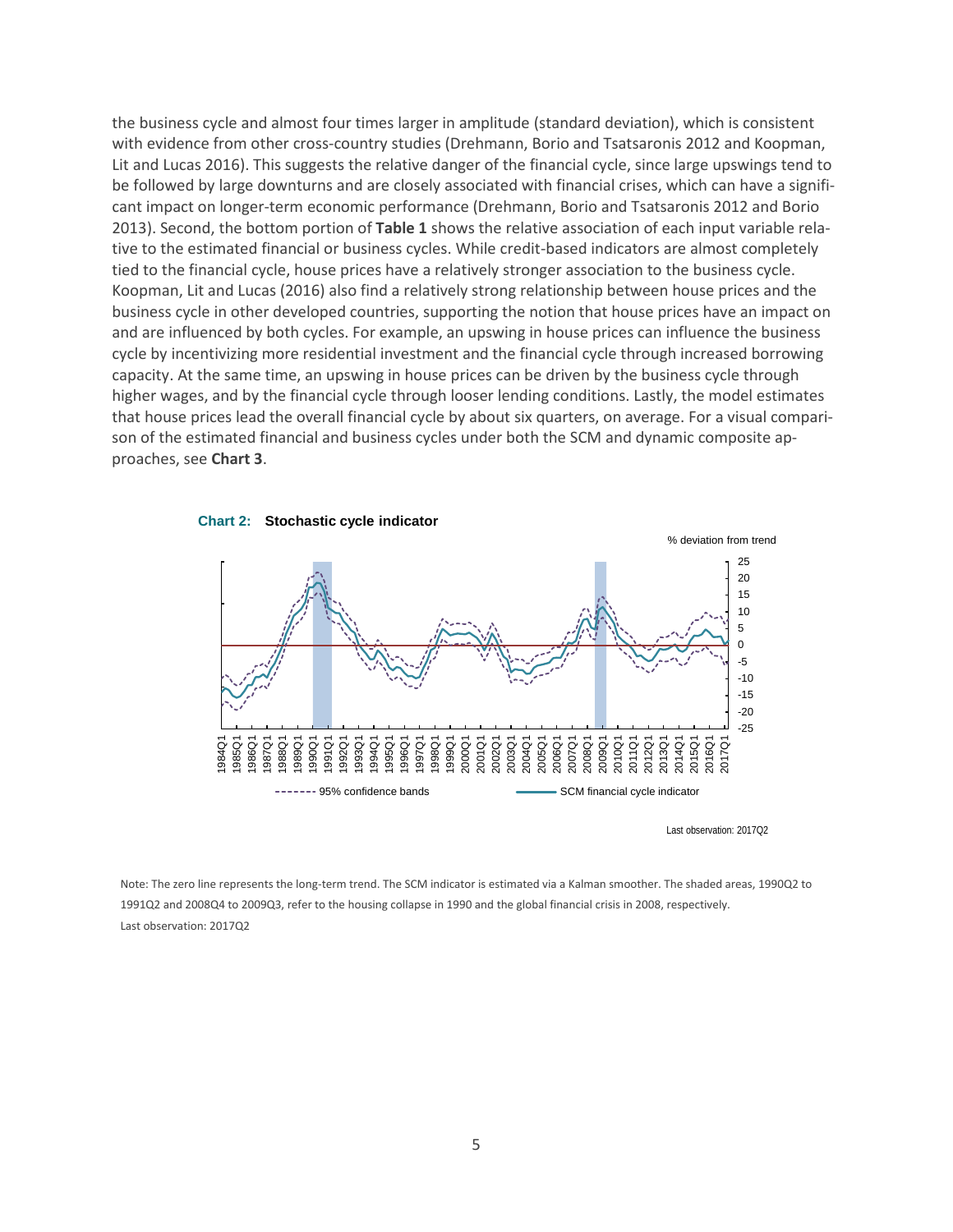the business cycle and almost four times larger in amplitude (standard deviation), which is consistent with evidence from other cross-country studies (Drehmann, Borio and Tsatsaronis 2012 and Koopman, Lit and Lucas 2016). This suggests the relative danger of the financial cycle, since large upswings tend to be followed by large downturns and are closely associated with financial crises, which can have a significant impact on longer-term economic performance (Drehmann, Borio and Tsatsaronis 2012 and Borio 2013). Second, the bottom portion of **Table 1** shows the relative association of each input variable relative to the estimated financial or business cycles. While credit-based indicators are almost completely tied to the financial cycle, house prices have a relatively stronger association to the business cycle. Koopman, Lit and Lucas (2016) also find a relatively strong relationship between house prices and the business cycle in other developed countries, supporting the notion that house prices have an impact on and are influenced by both cycles. For example, an upswing in house prices can influence the business cycle by incentivizing more residential investment and the financial cycle through increased borrowing capacity. At the same time, an upswing in house prices can be driven by the business cycle through higher wages, and by the financial cycle through looser lending conditions. Lastly, the model estimates that house prices lead the overall financial cycle by about six quarters, on average. For a visual comparison of the estimated financial and business cycles under both the SCM and dynamic composite approaches, see **Chart 3**.



**Chart 2: Stochastic cycle indicator**

Last observation: 2017Q2

Note: The zero line represents the long-term trend. The SCM indicator is estimated via a Kalman smoother. The shaded areas, 1990Q2 to 1991Q2 and 2008Q4 to 2009Q3, refer to the housing collapse in 1990 and the global financial crisis in 2008, respectively. Last observation: 2017Q2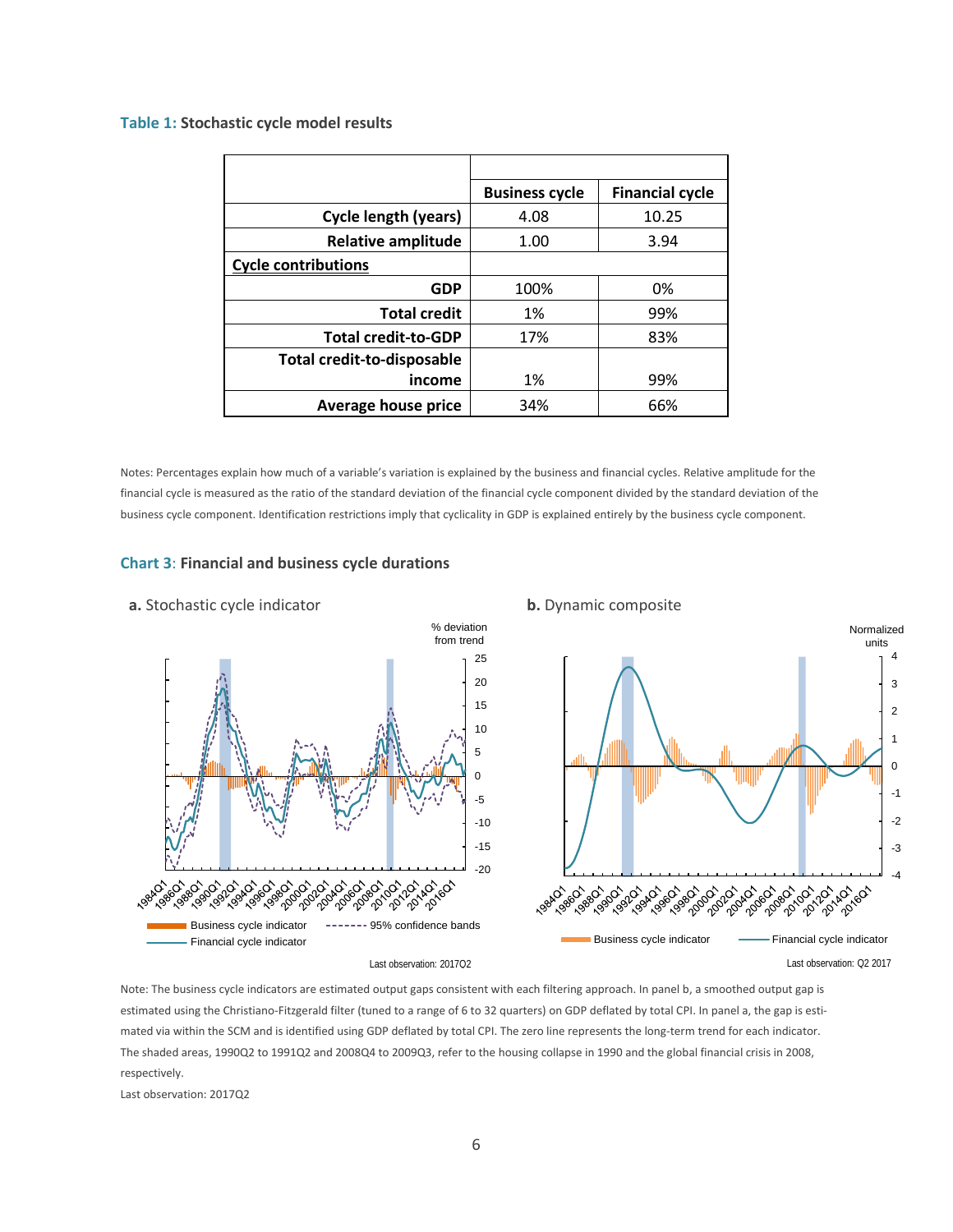#### **Table 1: Stochastic cycle model results**

|                                   | <b>Business cycle</b> | <b>Financial cycle</b> |
|-----------------------------------|-----------------------|------------------------|
| <b>Cycle length (years)</b>       | 4.08                  | 10.25                  |
| <b>Relative amplitude</b>         | 1.00                  | 3.94                   |
| <b>Cycle contributions</b>        |                       |                        |
| <b>GDP</b>                        | 100%                  | 0%                     |
| <b>Total credit</b>               | 1%                    | 99%                    |
| <b>Total credit-to-GDP</b>        | 17%                   | 83%                    |
| <b>Total credit-to-disposable</b> |                       |                        |
| income                            | 1%                    | 99%                    |
| <b>Average house price</b>        | 34%                   | 66%                    |

Notes: Percentages explain how much of a variable's variation is explained by the business and financial cycles. Relative amplitude for the financial cycle is measured as the ratio of the standard deviation of the financial cycle component divided by the standard deviation of the business cycle component. Identification restrictions imply that cyclicality in GDP is explained entirely by the business cycle component.

#### **Chart 3**: **Financial and business cycle durations**



#### Note: The business cycle indicators are estimated output gaps consistent with each filtering approach. In panel b, a smoothed output gap is estimated using the Christiano-Fitzgerald filter (tuned to a range of 6 to 32 quarters) on GDP deflated by total CPI. In panel a, the gap is estimated via within the SCM and is identified using GDP deflated by total CPI. The zero line represents the long-term trend for each indicator. The shaded areas, 1990Q2 to 1991Q2 and 2008Q4 to 2009Q3, refer to the housing collapse in 1990 and the global financial crisis in 2008, respectively.

Last observation: 2017Q2

### 6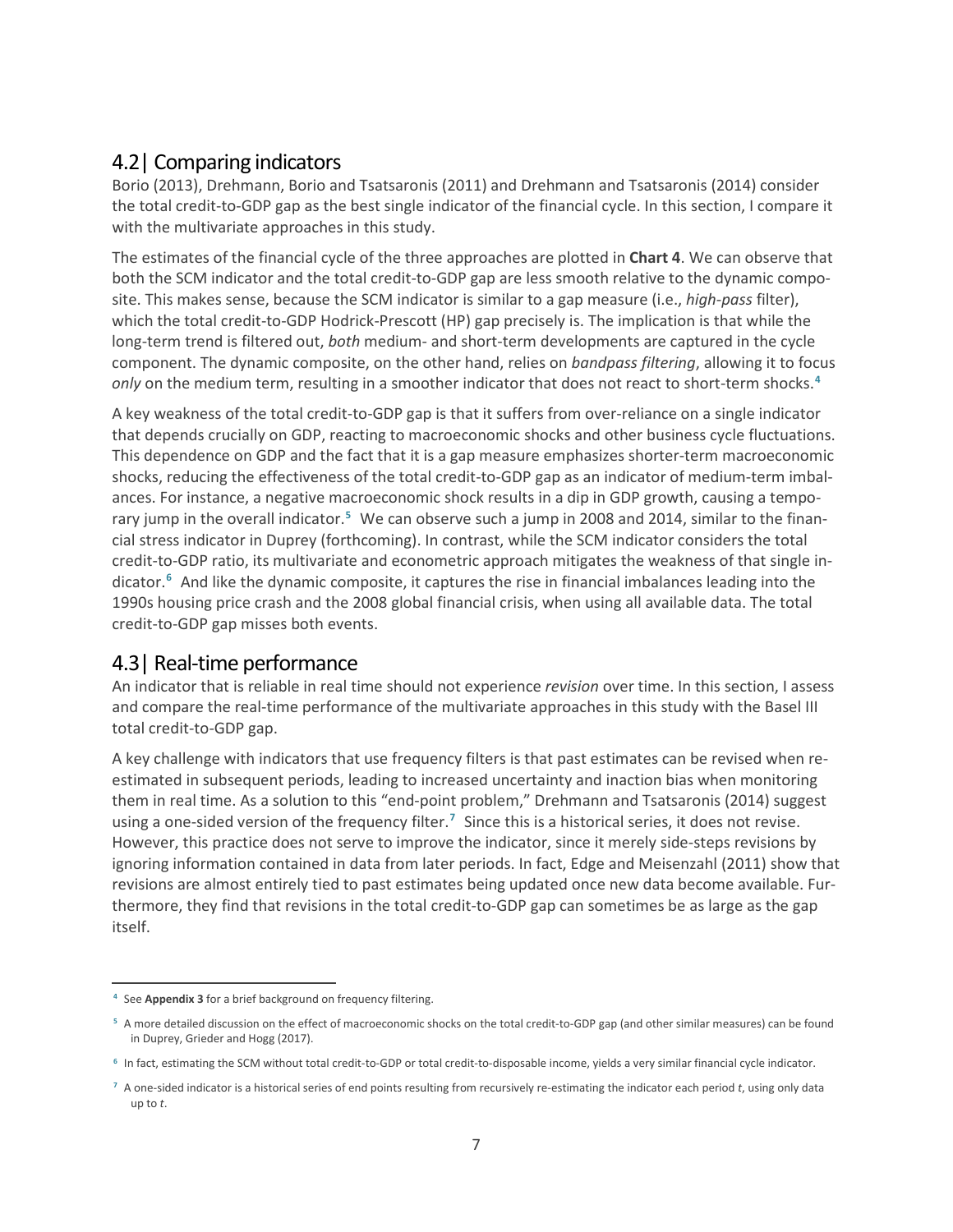### 4.2| Comparing indicators

Borio (2013), Drehmann, Borio and Tsatsaronis (2011) and Drehmann and Tsatsaronis (2014) consider the total credit-to-GDP gap as the best single indicator of the financial cycle. In this section, I compare it with the multivariate approaches in this study.

The estimates of the financial cycle of the three approaches are plotted in **Chart 4**. We can observe that both the SCM indicator and the total credit-to-GDP gap are less smooth relative to the dynamic composite. This makes sense, because the SCM indicator is similar to a gap measure (i.e., *high-pass* filter), which the total credit-to-GDP Hodrick-Prescott (HP) gap precisely is. The implication is that while the long-term trend is filtered out, *both* medium- and short-term developments are captured in the cycle component. The dynamic composite, on the other hand, relies on *bandpass filtering*, allowing it to focus *only* on the medium term, resulting in a smoother indicator that does not react to short-term shocks. **[4](#page-10-0)**

A key weakness of the total credit-to-GDP gap is that it suffers from over-reliance on a single indicator that depends crucially on GDP, reacting to macroeconomic shocks and other business cycle fluctuations. This dependence on GDP and the fact that it is a gap measure emphasizes shorter-term macroeconomic shocks, reducing the effectiveness of the total credit-to-GDP gap as an indicator of medium-term imbalances. For instance, a negative macroeconomic shock results in a dip in GDP growth, causing a temporary jump in the overall indicator.**[5](#page-10-1)** We can observe such a jump in 2008 and 2014, similar to the financial stress indicator in Duprey (forthcoming). In contrast, while the SCM indicator considers the total credit-to-GDP ratio, its multivariate and econometric approach mitigates the weakness of that single indicator.**[6](#page-10-2)** And like the dynamic composite, it captures the rise in financial imbalances leading into the 1990s housing price crash and the 2008 global financial crisis, when using all available data. The total credit-to-GDP gap misses both events.

### 4.3| Real-time performance

An indicator that is reliable in real time should not experience *revision* over time. In this section, I assess and compare the real-time performance of the multivariate approaches in this study with the Basel III total credit-to-GDP gap.

A key challenge with indicators that use frequency filters is that past estimates can be revised when reestimated in subsequent periods, leading to increased uncertainty and inaction bias when monitoring them in real time. As a solution to this "end-point problem," Drehmann and Tsatsaronis (2014) suggest using a one-sided version of the frequency filter.**[7](#page-10-3)** Since this is a historical series, it does not revise. However, this practice does not serve to improve the indicator, since it merely side-steps revisions by ignoring information contained in data from later periods. In fact, Edge and Meisenzahl (2011) show that revisions are almost entirely tied to past estimates being updated once new data become available. Furthermore, they find that revisions in the total credit-to-GDP gap can sometimes be as large as the gap itself.

<span id="page-10-0"></span> $\overline{a}$ **<sup>4</sup>** See **Appendix 3** for a brief background on frequency filtering.

<span id="page-10-1"></span>**<sup>5</sup>** A more detailed discussion on the effect of macroeconomic shocks on the total credit-to-GDP gap (and other similar measures) can be found in Duprey, Grieder and Hogg (2017).

<span id="page-10-2"></span>**<sup>6</sup>** In fact, estimating the SCM without total credit-to-GDP or total credit-to-disposable income, yields a very similar financial cycle indicator.

<span id="page-10-3"></span>**<sup>7</sup>** A one-sided indicator is a historical series of end points resulting from recursively re-estimating the indicator each period *t*, using only data up to *t*.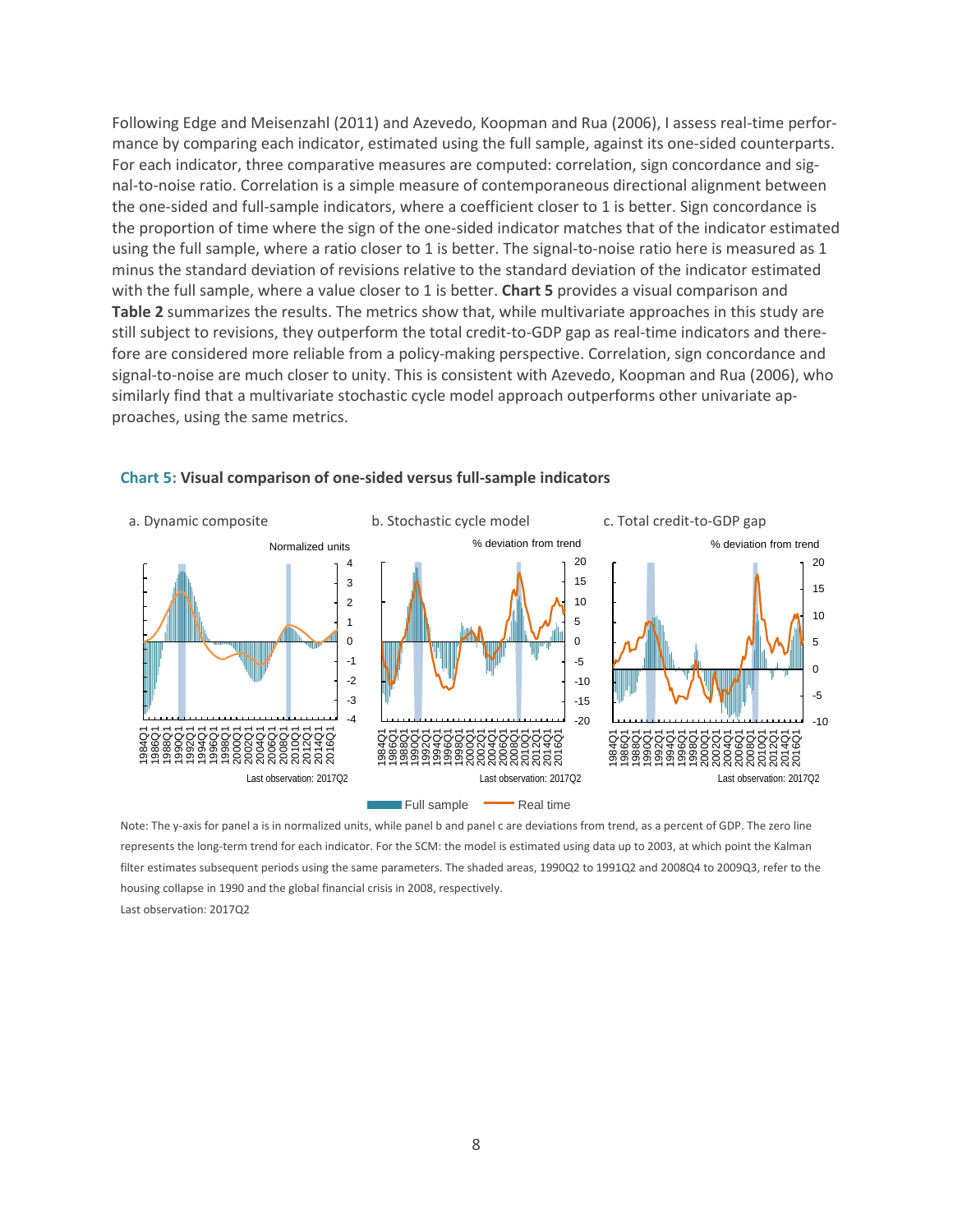Following Edge and Meisenzahl (2011) and Azevedo, Koopman and Rua (2006), I assess real-time performance by comparing each indicator, estimated using the full sample, against its one-sided counterparts. For each indicator, three comparative measures are computed: correlation, sign concordance and signal-to-noise ratio. Correlation is a simple measure of contemporaneous directional alignment between the one-sided and full-sample indicators, where a coefficient closer to 1 is better. Sign concordance is the proportion of time where the sign of the one-sided indicator matches that of the indicator estimated using the full sample, where a ratio closer to 1 is better. The signal-to-noise ratio here is measured as 1 minus the standard deviation of revisions relative to the standard deviation of the indicator estimated with the full sample, where a value closer to 1 is better. **Chart 5** provides a visual comparison and **Table 2** summarizes the results. The metrics show that, while multivariate approaches in this study are still subject to revisions, they outperform the total credit-to-GDP gap as real-time indicators and therefore are considered more reliable from a policy-making perspective. Correlation, sign concordance and signal-to-noise are much closer to unity. This is consistent with Azevedo, Koopman and Rua (2006), who similarly find that a multivariate stochastic cycle model approach outperforms other univariate approaches, using the same metrics.



#### **Chart 5: Visual comparison of one-sided versus full-sample indicators**

Note: The y-axis for panel a is in normalized units, while panel b and panel c are deviations from trend, as a percent of GDP. The zero line represents the long-term trend for each indicator. For the SCM: the model is estimated using data up to 2003, at which point the Kalman filter estimates subsequent periods using the same parameters. The shaded areas, 1990Q2 to 1991Q2 and 2008Q4 to 2009Q3, refer to the housing collapse in 1990 and the global financial crisis in 2008, respectively. Last observation: 2017Q2

8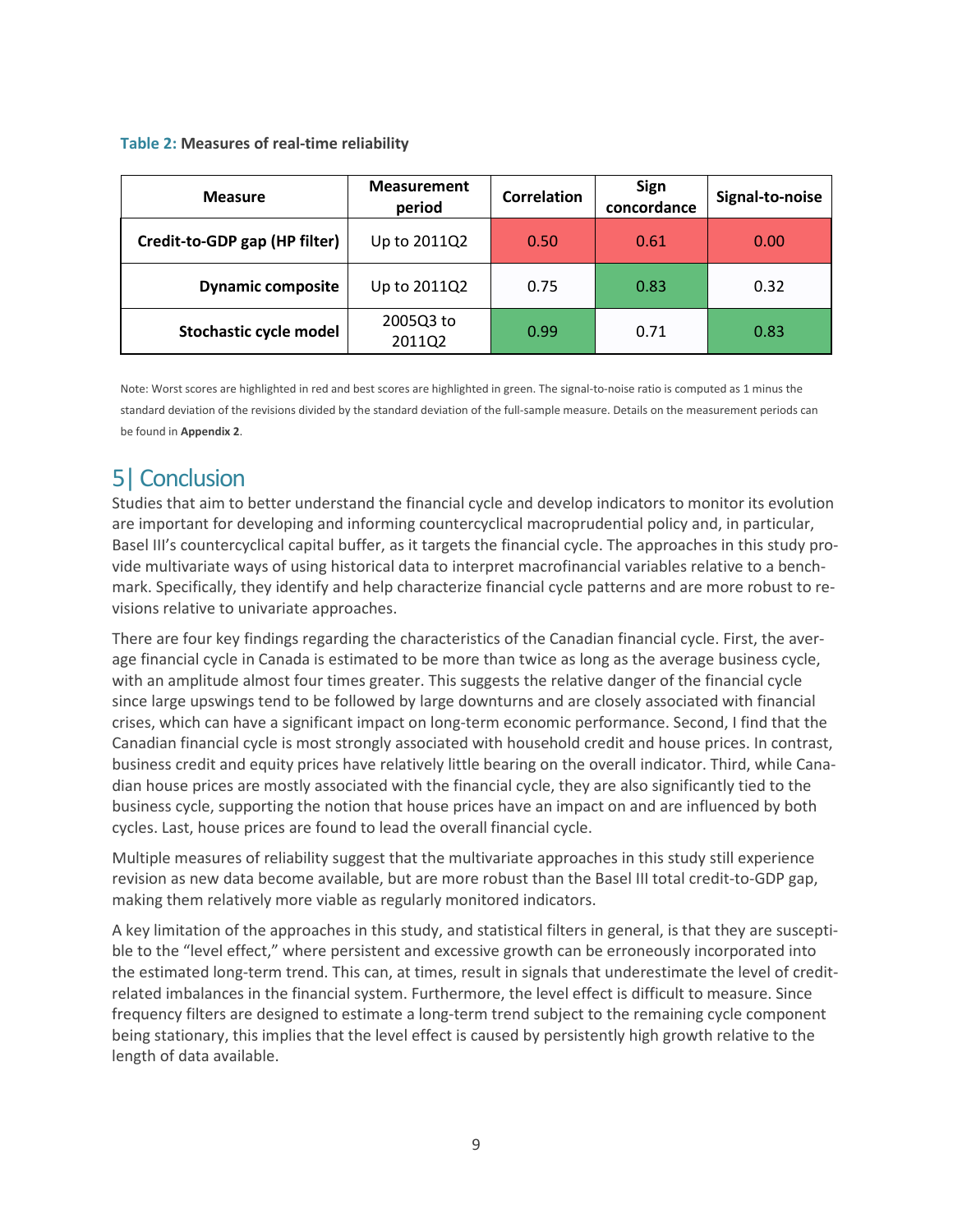#### **Table 2: Measures of real-time reliability**

| <b>Measure</b>                | <b>Measurement</b><br>period | <b>Correlation</b> | Sign<br>concordance | Signal-to-noise |
|-------------------------------|------------------------------|--------------------|---------------------|-----------------|
| Credit-to-GDP gap (HP filter) | Up to 2011Q2                 | 0.50               | 0.61                | 0.00            |
| <b>Dynamic composite</b>      | Up to 2011Q2                 | 0.75               | 0.83                | 0.32            |
| Stochastic cycle model        | 2005Q3 to<br>2011Q2          | 0.99               | 0.71                | 0.83            |

Note: Worst scores are highlighted in red and best scores are highlighted in green. The signal-to-noise ratio is computed as 1 minus the standard deviation of the revisions divided by the standard deviation of the full-sample measure. Details on the measurement periods can be found in **Appendix 2**.

# 5| Conclusion

Studies that aim to better understand the financial cycle and develop indicators to monitor its evolution are important for developing and informing countercyclical macroprudential policy and, in particular, Basel III's countercyclical capital buffer, as it targets the financial cycle. The approaches in this study provide multivariate ways of using historical data to interpret macrofinancial variables relative to a benchmark. Specifically, they identify and help characterize financial cycle patterns and are more robust to revisions relative to univariate approaches.

There are four key findings regarding the characteristics of the Canadian financial cycle. First, the average financial cycle in Canada is estimated to be more than twice as long as the average business cycle, with an amplitude almost four times greater. This suggests the relative danger of the financial cycle since large upswings tend to be followed by large downturns and are closely associated with financial crises, which can have a significant impact on long-term economic performance. Second, I find that the Canadian financial cycle is most strongly associated with household credit and house prices. In contrast, business credit and equity prices have relatively little bearing on the overall indicator. Third, while Canadian house prices are mostly associated with the financial cycle, they are also significantly tied to the business cycle, supporting the notion that house prices have an impact on and are influenced by both cycles. Last, house prices are found to lead the overall financial cycle.

Multiple measures of reliability suggest that the multivariate approaches in this study still experience revision as new data become available, but are more robust than the Basel III total credit-to-GDP gap, making them relatively more viable as regularly monitored indicators.

A key limitation of the approaches in this study, and statistical filters in general, is that they are susceptible to the "level effect," where persistent and excessive growth can be erroneously incorporated into the estimated long-term trend. This can, at times, result in signals that underestimate the level of creditrelated imbalances in the financial system. Furthermore, the level effect is difficult to measure. Since frequency filters are designed to estimate a long-term trend subject to the remaining cycle component being stationary, this implies that the level effect is caused by persistently high growth relative to the length of data available.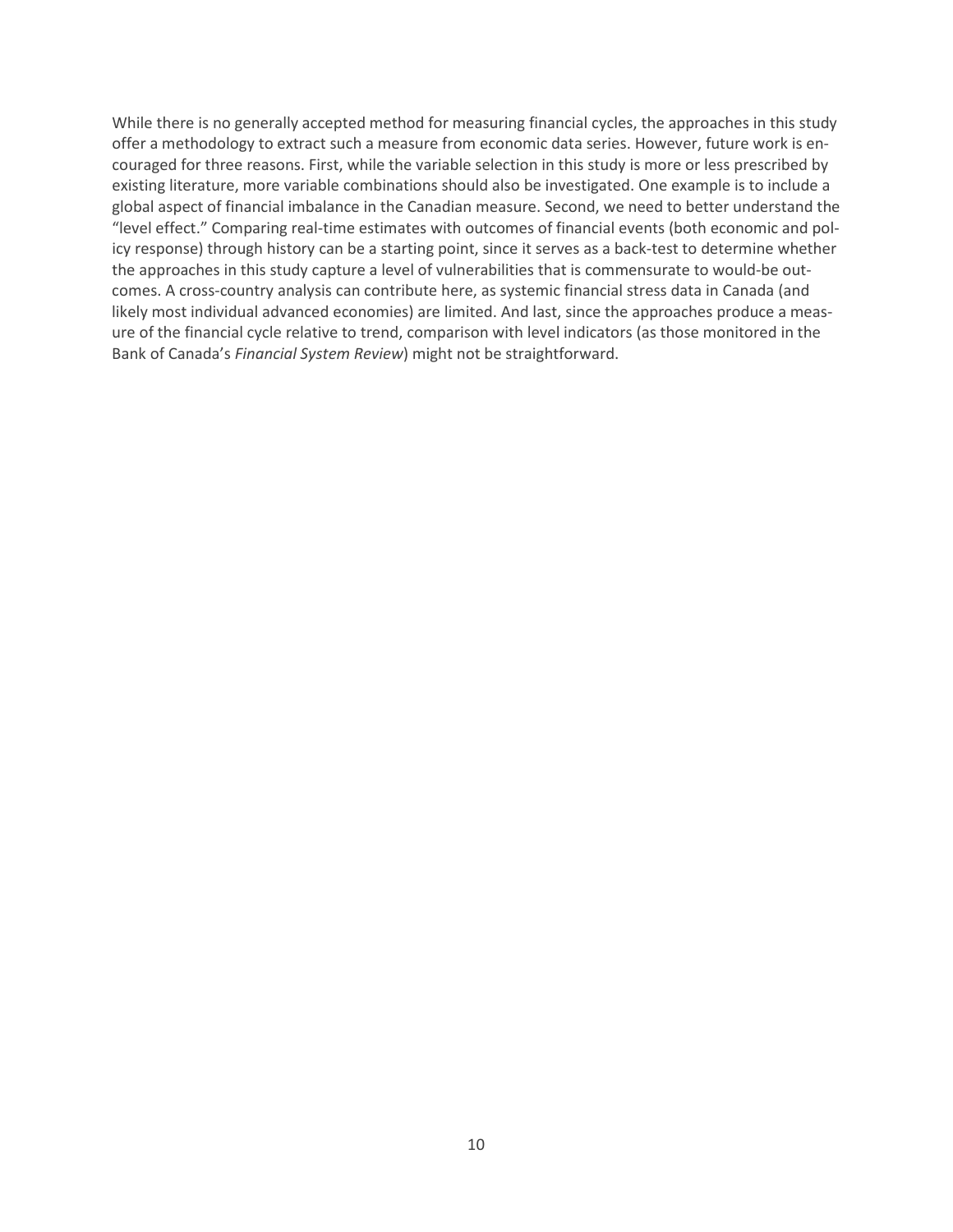While there is no generally accepted method for measuring financial cycles, the approaches in this study offer a methodology to extract such a measure from economic data series. However, future work is encouraged for three reasons. First, while the variable selection in this study is more or less prescribed by existing literature, more variable combinations should also be investigated. One example is to include a global aspect of financial imbalance in the Canadian measure. Second, we need to better understand the "level effect." Comparing real-time estimates with outcomes of financial events (both economic and policy response) through history can be a starting point, since it serves as a back-test to determine whether the approaches in this study capture a level of vulnerabilities that is commensurate to would-be outcomes. A cross-country analysis can contribute here, as systemic financial stress data in Canada (and likely most individual advanced economies) are limited. And last, since the approaches produce a measure of the financial cycle relative to trend, comparison with level indicators (as those monitored in the Bank of Canada's *Financial System Review*) might not be straightforward.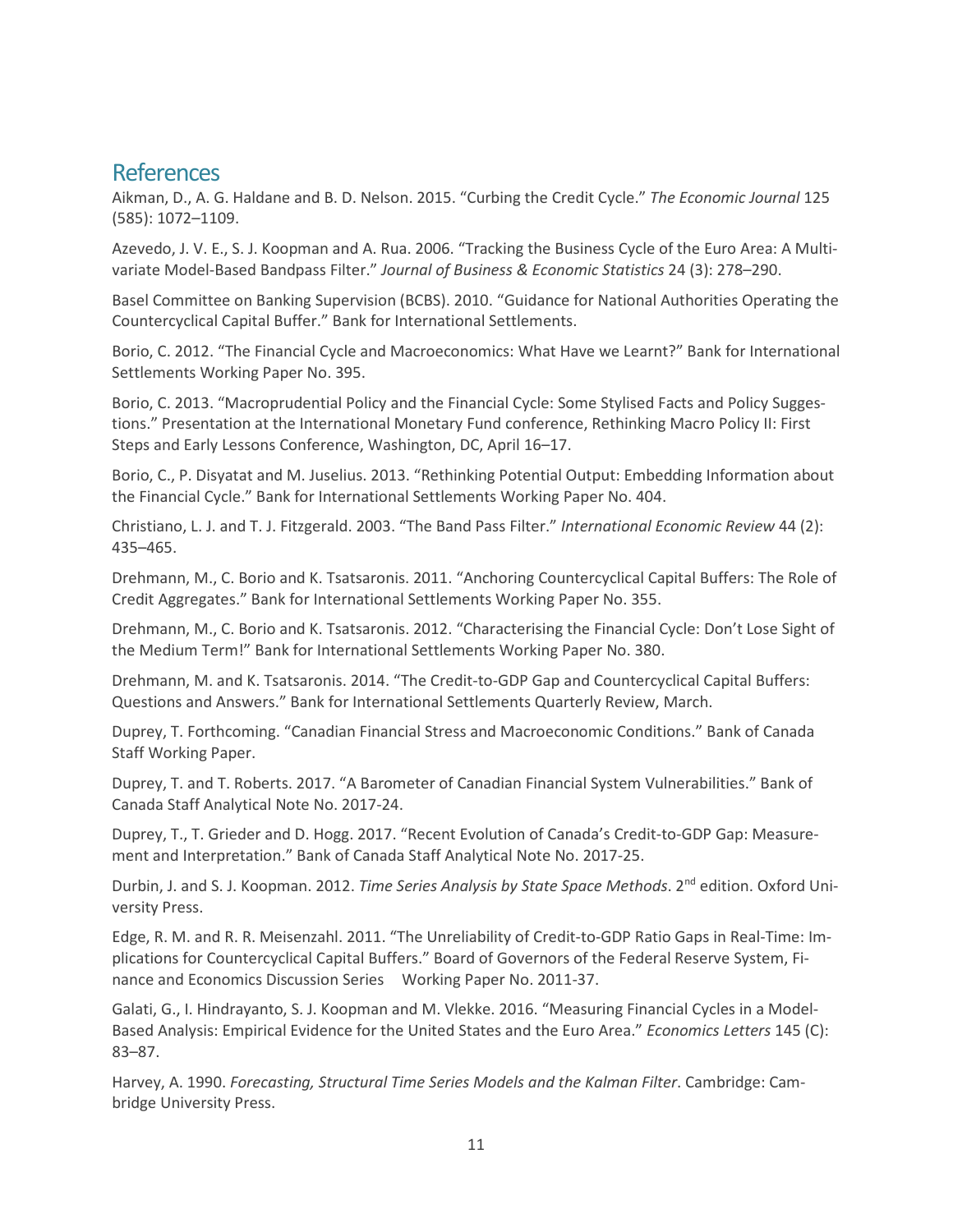### References

Aikman, D., A. G. Haldane and B. D. Nelson. 2015. "Curbing the Credit Cycle." *The Economic Journal* 125 (585): 1072–1109.

Azevedo, J. V. E., S. J. Koopman and A. Rua. 2006. "Tracking the Business Cycle of the Euro Area: A Multivariate Model-Based Bandpass Filter." *Journal of Business & Economic Statistics* 24 (3): 278–290.

Basel Committee on Banking Supervision (BCBS). 2010. "Guidance for National Authorities Operating the Countercyclical Capital Buffer." Bank for International Settlements.

Borio, C. 2012. "The Financial Cycle and Macroeconomics: What Have we Learnt?" Bank for International Settlements Working Paper No. 395.

Borio, C. 2013. "Macroprudential Policy and the Financial Cycle: Some Stylised Facts and Policy Suggestions." Presentation at the International Monetary Fund conference, Rethinking Macro Policy II: First Steps and Early Lessons Conference, Washington, DC, April 16–17.

Borio, C., P. Disyatat and M. Juselius. 2013. "Rethinking Potential Output: Embedding Information about the Financial Cycle." Bank for International Settlements Working Paper No. 404.

Christiano, L. J. and T. J. Fitzgerald. 2003. "The Band Pass Filter." *International Economic Review* 44 (2): 435–465.

Drehmann, M., C. Borio and K. Tsatsaronis. 2011. "Anchoring Countercyclical Capital Buffers: The Role of Credit Aggregates." Bank for International Settlements Working Paper No. 355.

Drehmann, M., C. Borio and K. Tsatsaronis. 2012. "Characterising the Financial Cycle: Don't Lose Sight of the Medium Term!" Bank for International Settlements Working Paper No. 380.

Drehmann, M. and K. Tsatsaronis. 2014. "The Credit-to-GDP Gap and Countercyclical Capital Buffers: Questions and Answers." Bank for International Settlements Quarterly Review, March.

Duprey, T. Forthcoming. "Canadian Financial Stress and Macroeconomic Conditions." Bank of Canada Staff Working Paper.

Duprey, T. and T. Roberts. 2017. "A Barometer of Canadian Financial System Vulnerabilities." Bank of Canada Staff Analytical Note No. 2017-24.

Duprey, T., T. Grieder and D. Hogg. 2017. "Recent Evolution of Canada's Credit-to-GDP Gap: Measurement and Interpretation." Bank of Canada Staff Analytical Note No. 2017-25.

Durbin, J. and S. J. Koopman. 2012. *Time Series Analysis by State Space Methods*. 2nd edition. Oxford University Press.

Edge, R. M. and R. R. Meisenzahl. 2011. "The Unreliability of Credit-to-GDP Ratio Gaps in Real-Time: Implications for Countercyclical Capital Buffers." Board of Governors of the Federal Reserve System, Finance and Economics Discussion Series Working Paper No. 2011-37.

Galati, G., I. Hindrayanto, S. J. Koopman and M. Vlekke. 2016. "Measuring Financial Cycles in a Model-Based Analysis: Empirical Evidence for the United States and the Euro Area." *Economics Letters* 145 (C): 83–87.

Harvey, A. 1990. *Forecasting, Structural Time Series Models and the Kalman Filter*. Cambridge: Cambridge University Press.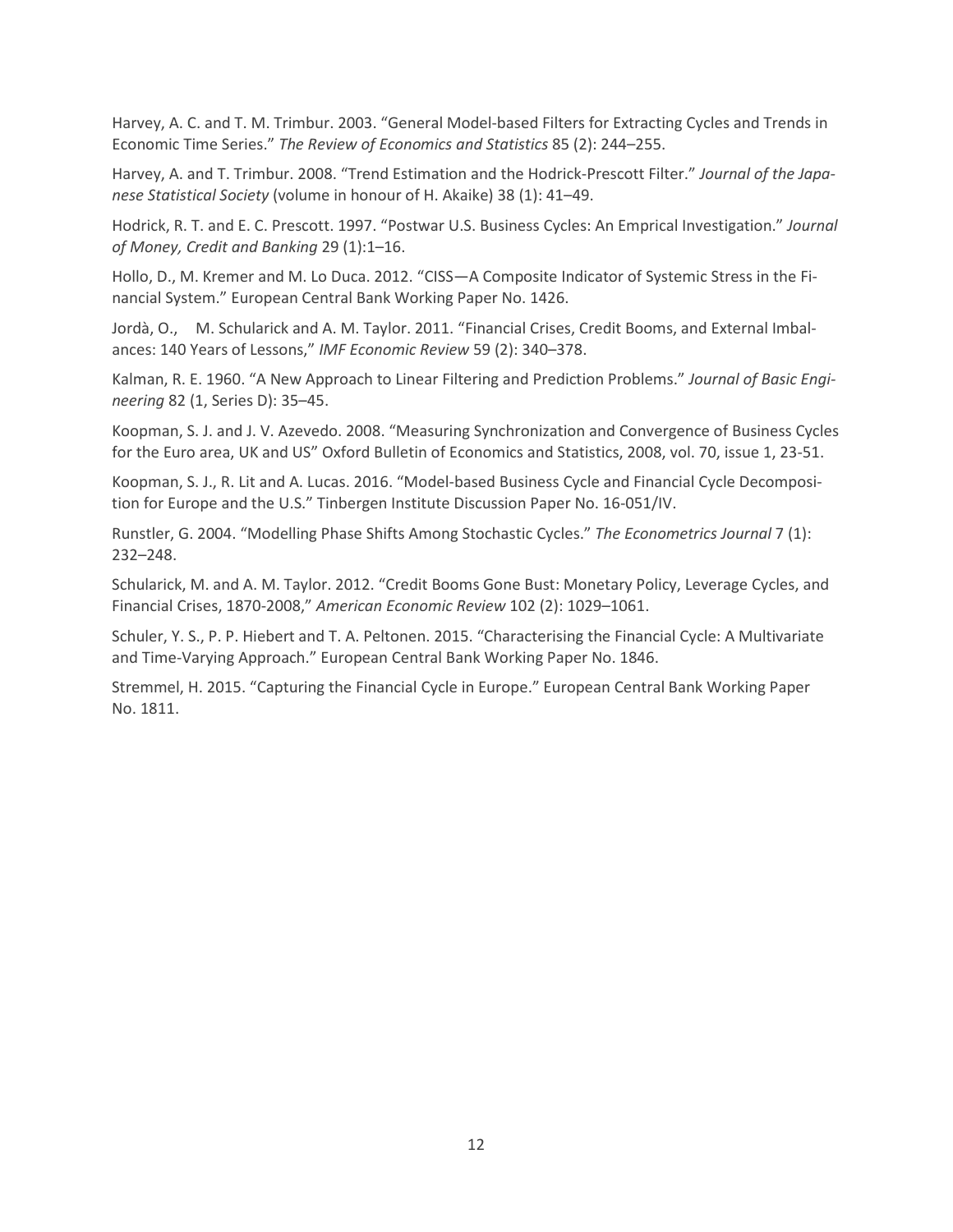Harvey, A. C. and T. M. Trimbur. 2003. "General Model-based Filters for Extracting Cycles and Trends in Economic Time Series." *The Review of Economics and Statistics* 85 (2): 244–255.

Harvey, A. and T. Trimbur. 2008. "Trend Estimation and the Hodrick-Prescott Filter." *Journal of the Japanese Statistical Society* (volume in honour of H. Akaike) 38 (1): 41–49.

Hodrick, R. T. and E. C. Prescott. 1997. "Postwar U.S. Business Cycles: An Emprical Investigation." *Journal of Money, Credit and Banking* 29 (1):1–16.

Hollo, D., M. Kremer and M. Lo Duca. 2012. "CISS—A Composite Indicator of Systemic Stress in the Financial System." European Central Bank Working Paper No. 1426.

Jordà, O., M. Schularick and A. M. Taylor. 2011. "Financial Crises, Credit Booms, and External Imbalances: 140 Years of Lessons," *IMF Economic Review* 59 (2): 340–378.

Kalman, R. E. 1960. "A New Approach to Linear Filtering and Prediction Problems." *Journal of Basic Engineering* 82 (1, Series D): 35–45.

Koopman, S. J. and J. V. Azevedo. 2008. "Measuring Synchronization and Convergence of Business Cycles for the Euro area, UK and US" Oxford Bulletin of Economics and Statistics, 2008, vol. 70, issue 1, 23-51.

Koopman, S. J., R. Lit and A. Lucas. 2016. "Model-based Business Cycle and Financial Cycle Decomposition for Europe and the U.S." Tinbergen Institute Discussion Paper No. 16-051/IV.

Runstler, G. 2004. "Modelling Phase Shifts Among Stochastic Cycles." *The Econometrics Journal* 7 (1): 232–248.

Schularick, M. and A. M. Taylor. 2012. "Credit Booms Gone Bust: Monetary Policy, Leverage Cycles, and Financial Crises, 1870-2008," *American Economic Review* 102 (2): 1029–1061.

Schuler, Y. S., P. P. Hiebert and T. A. Peltonen. 2015. "Characterising the Financial Cycle: A Multivariate and Time-Varying Approach." European Central Bank Working Paper No. 1846.

Stremmel, H. 2015. "Capturing the Financial Cycle in Europe." European Central Bank Working Paper No. 1811.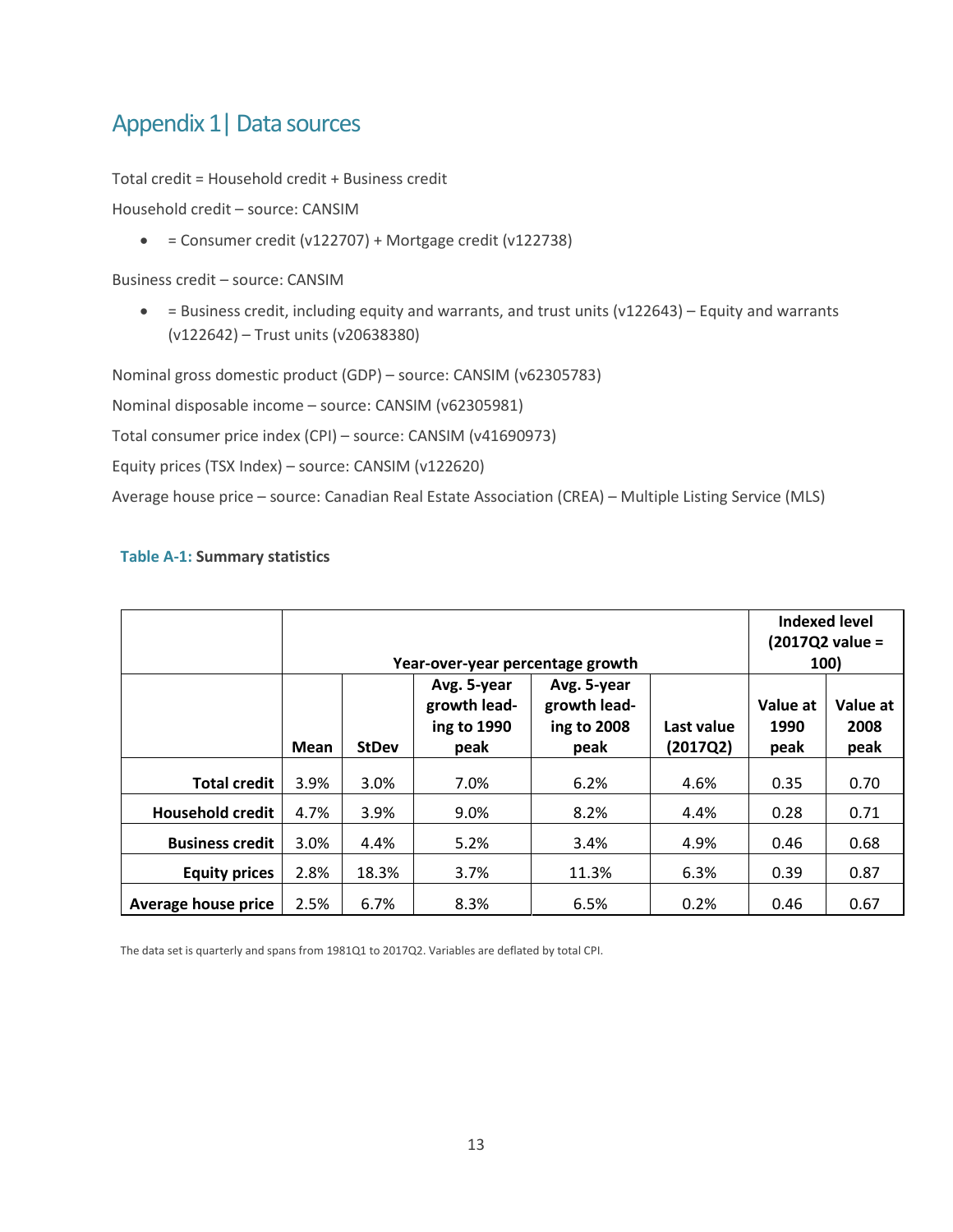# Appendix 1 | Data sources

Total credit = Household credit + Business credit

Household credit – source: CANSIM

 $\bullet$  = Consumer credit (v122707) + Mortgage credit (v122738)

Business credit – source: CANSIM

• = Business credit, including equity and warrants, and trust units (v122643) – Equity and warrants (v122642) – Trust units (v20638380)

Nominal gross domestic product (GDP) – source: CANSIM (v62305783)

Nominal disposable income – source: CANSIM (v62305981)

Total consumer price index (CPI) – source: CANSIM (v41690973)

Equity prices (TSX Index) – source: CANSIM (v122620)

Average house price – source: Canadian Real Estate Association (CREA) – Multiple Listing Service (MLS)

#### **Table A-1: Summary statistics**

|                         | Year-over-year percentage growth |              |                                                    |                                                    |                        | <b>Indexed level</b><br>(2017Q2 value =<br>100) |                          |
|-------------------------|----------------------------------|--------------|----------------------------------------------------|----------------------------------------------------|------------------------|-------------------------------------------------|--------------------------|
|                         | Mean                             | <b>StDev</b> | Avg. 5-year<br>growth lead-<br>ing to 1990<br>peak | Avg. 5-year<br>growth lead-<br>ing to 2008<br>peak | Last value<br>(2017Q2) | Value at<br>1990<br>peak                        | Value at<br>2008<br>peak |
| <b>Total credit</b>     | 3.9%                             | 3.0%         | 7.0%                                               | 6.2%                                               | 4.6%                   | 0.35                                            | 0.70                     |
| <b>Household credit</b> | 4.7%                             | 3.9%         | 9.0%                                               | 8.2%                                               | 4.4%                   | 0.28                                            | 0.71                     |
| <b>Business credit</b>  | 3.0%                             | 4.4%         | 5.2%                                               | 3.4%                                               | 4.9%                   | 0.46                                            | 0.68                     |
| <b>Equity prices</b>    | 2.8%                             | 18.3%        | 3.7%                                               | 11.3%                                              | 6.3%                   | 0.39                                            | 0.87                     |
| Average house price     | 2.5%                             | 6.7%         | 8.3%                                               | 6.5%                                               | 0.2%                   | 0.46                                            | 0.67                     |

The data set is quarterly and spans from 1981Q1 to 2017Q2. Variables are deflated by total CPI.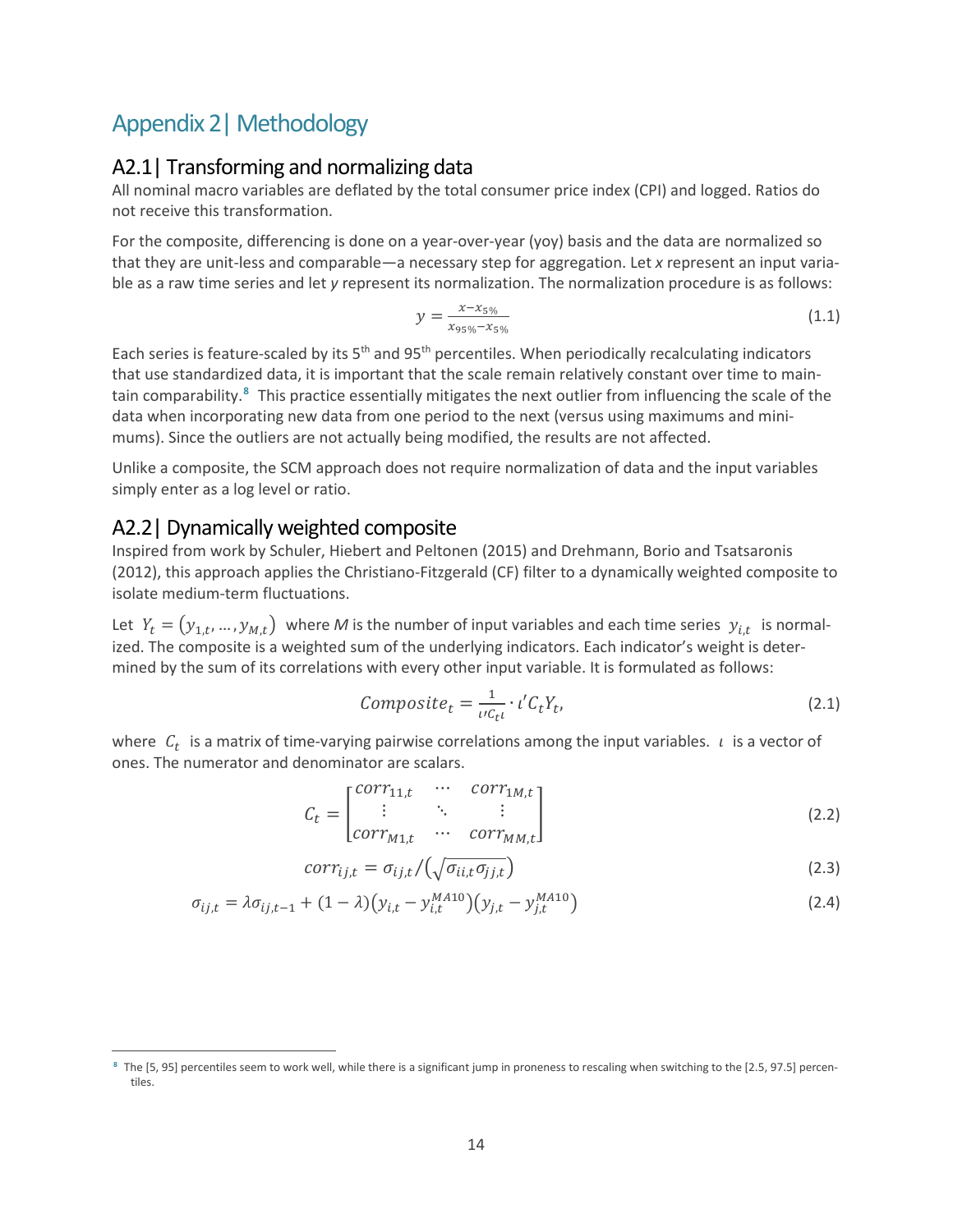# Appendix 2| Methodology

### A2.1| Transforming and normalizing data

All nominal macro variables are deflated by the total consumer price index (CPI) and logged. Ratios do not receive this transformation.

For the composite, differencing is done on a year-over-year (yoy) basis and the data are normalized so that they are unit-less and comparable—a necessary step for aggregation. Let *x* represent an input variable as a raw time series and let *y* represent its normalization. The normalization procedure is as follows:

$$
y = \frac{x - x_{5\%}}{x_{95\%} - x_{5\%}}\tag{1.1}
$$

Each series is feature-scaled by its 5<sup>th</sup> and 95<sup>th</sup> percentiles. When periodically recalculating indicators that use standardized data, it is important that the scale remain relatively constant over time to maintain comparability.**[8](#page-17-0)** This practice essentially mitigates the next outlier from influencing the scale of the data when incorporating new data from one period to the next (versus using maximums and minimums). Since the outliers are not actually being modified, the results are not affected.

Unlike a composite, the SCM approach does not require normalization of data and the input variables simply enter as a log level or ratio.

### A2.2| Dynamically weighted composite

 $\overline{a}$ 

Inspired from work by Schuler, Hiebert and Peltonen (2015) and Drehmann, Borio and Tsatsaronis (2012), this approach applies the Christiano-Fitzgerald (CF) filter to a dynamically weighted composite to isolate medium-term fluctuations.

Let  $Y_t = (y_{1,t},..., y_{M,t})$  where *M* is the number of input variables and each time series  $y_{i,t}$  is normalized. The composite is a weighted sum of the underlying indicators. Each indicator's weight is determined by the sum of its correlations with every other input variable. It is formulated as follows:

$$
Composite_t = \frac{1}{\iota c_{t}} \cdot \iota' C_t Y_t, \tag{2.1}
$$

where  $C_t$  is a matrix of time-varying pairwise correlations among the input variables.  $\iota$  is a vector of ones. The numerator and denominator are scalars.

$$
C_{t} = \begin{bmatrix} corr_{11,t} & \cdots & corr_{1M,t} \\ \vdots & \ddots & \vdots \\ corr_{M1,t} & \cdots & corr_{MM,t} \end{bmatrix}
$$
 (2.2)

$$
corr_{ij,t} = \sigma_{ij,t} / \left(\sqrt{\sigma_{ii,t} \sigma_{jj,t}}\right) \tag{2.3}
$$

$$
\sigma_{ij,t} = \lambda \sigma_{ij,t-1} + (1 - \lambda) \left( y_{i,t} - y_{i,t}^{MA10} \right) \left( y_{j,t} - y_{j,t}^{MA10} \right) \tag{2.4}
$$

<span id="page-17-0"></span>**<sup>8</sup>** The [5, 95] percentiles seem to work well, while there is a significant jump in proneness to rescaling when switching to the [2.5, 97.5] percentiles.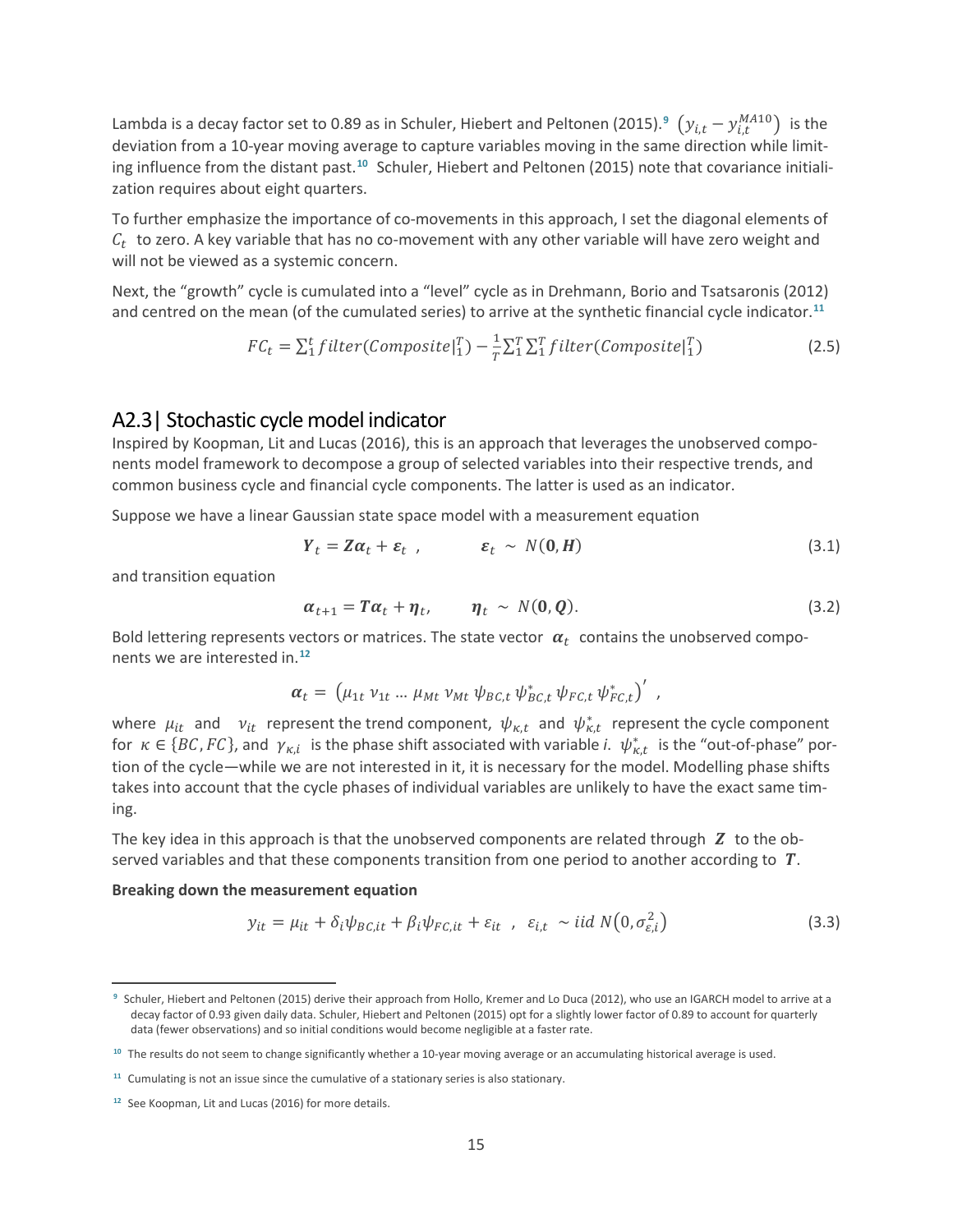Lambda is a decay factor set to 0.8[9](#page-18-0) as in Schuler, Hiebert and Peltonen (2015).<sup>9</sup>  $(y_{i,t} - y_{i,t}^{MA10})$  is the deviation from a 10-year moving average to capture variables moving in the same direction while limiting influence from the distant past.**[10](#page-18-1)** Schuler, Hiebert and Peltonen (2015) note that covariance initialization requires about eight quarters.

To further emphasize the importance of co-movements in this approach, I set the diagonal elements of  $C_t$  to zero. A key variable that has no co-movement with any other variable will have zero weight and will not be viewed as a systemic concern.

Next, the "growth" cycle is cumulated into a "level" cycle as in Drehmann, Borio and Tsatsaronis (2012) and centred on the mean (of the cumulated series) to arrive at the synthetic financial cycle indicator.**[11](#page-18-2)**

$$
FC_t = \sum_{i=1}^{t} filter(Composite|_{1}^{T}) - \frac{1}{T} \sum_{i=1}^{T} \sum_{i=1}^{T} filter(Composite|_{1}^{T})
$$
\n(2.5)

### A2.3| Stochastic cycle model indicator

Inspired by Koopman, Lit and Lucas (2016), this is an approach that leverages the unobserved components model framework to decompose a group of selected variables into their respective trends, and common business cycle and financial cycle components. The latter is used as an indicator.

Suppose we have a linear Gaussian state space model with a measurement equation

$$
Y_t = Z\alpha_t + \varepsilon_t \tquad , \t\epsilon_t \sim N(0, H) \t\t(3.1)
$$

and transition equation

 $\overline{a}$ 

$$
\alpha_{t+1} = T\alpha_t + \eta_t, \qquad \eta_t \sim N(0, Q). \qquad (3.2)
$$

Bold lettering represents vectors or matrices. The state vector  $\alpha_t$  contains the unobserved components we are interested in.**[12](#page-18-3)**

$$
\boldsymbol{\alpha}_t = \left(\mu_{1t} \, \nu_{1t} \, ... \, \mu_{Mt} \, \nu_{Mt} \, \psi_{BC,t} \, \psi_{BC,t}^* \, \psi_{FC,t} \, \psi_{FC,t}^* \right)'
$$

where  $\mu_{it}$  and  $v_{it}$  represent the trend component,  $\psi_{\kappa,t}$  and  $\psi_{\kappa,t}^*$  represent the cycle component for  $\kappa \in \{BC, FC\}$ , and  $\gamma_{\kappa,i}$  is the phase shift associated with variable *i*.  $\psi^*_{\kappa,t}$  is the "out-of-phase" portion of the cycle—while we are not interested in it, it is necessary for the model. Modelling phase shifts takes into account that the cycle phases of individual variables are unlikely to have the exact same timing.

The key idea in this approach is that the unobserved components are related through  $Z$  to the observed variables and that these components transition from one period to another according to  $T$ .

#### **Breaking down the measurement equation**

$$
y_{it} = \mu_{it} + \delta_i \psi_{BC, it} + \beta_i \psi_{FC, it} + \varepsilon_{it} \quad \varepsilon_{i, t} \sim \text{iid } N(0, \sigma_{\varepsilon, i}^2)
$$
(3.3)

<span id="page-18-0"></span>**<sup>9</sup>** Schuler, Hiebert and Peltonen (2015) derive their approach from Hollo, Kremer and Lo Duca (2012), who use an IGARCH model to arrive at a decay factor of 0.93 given daily data. Schuler, Hiebert and Peltonen (2015) opt for a slightly lower factor of 0.89 to account for quarterly data (fewer observations) and so initial conditions would become negligible at a faster rate.

<span id="page-18-1"></span>**<sup>10</sup>** The results do not seem to change significantly whether a 10-year moving average or an accumulating historical average is used.

<span id="page-18-2"></span>**<sup>11</sup>** Cumulating is not an issue since the cumulative of a stationary series is also stationary.

<span id="page-18-3"></span>**<sup>12</sup>** See Koopman, Lit and Lucas (2016) for more details.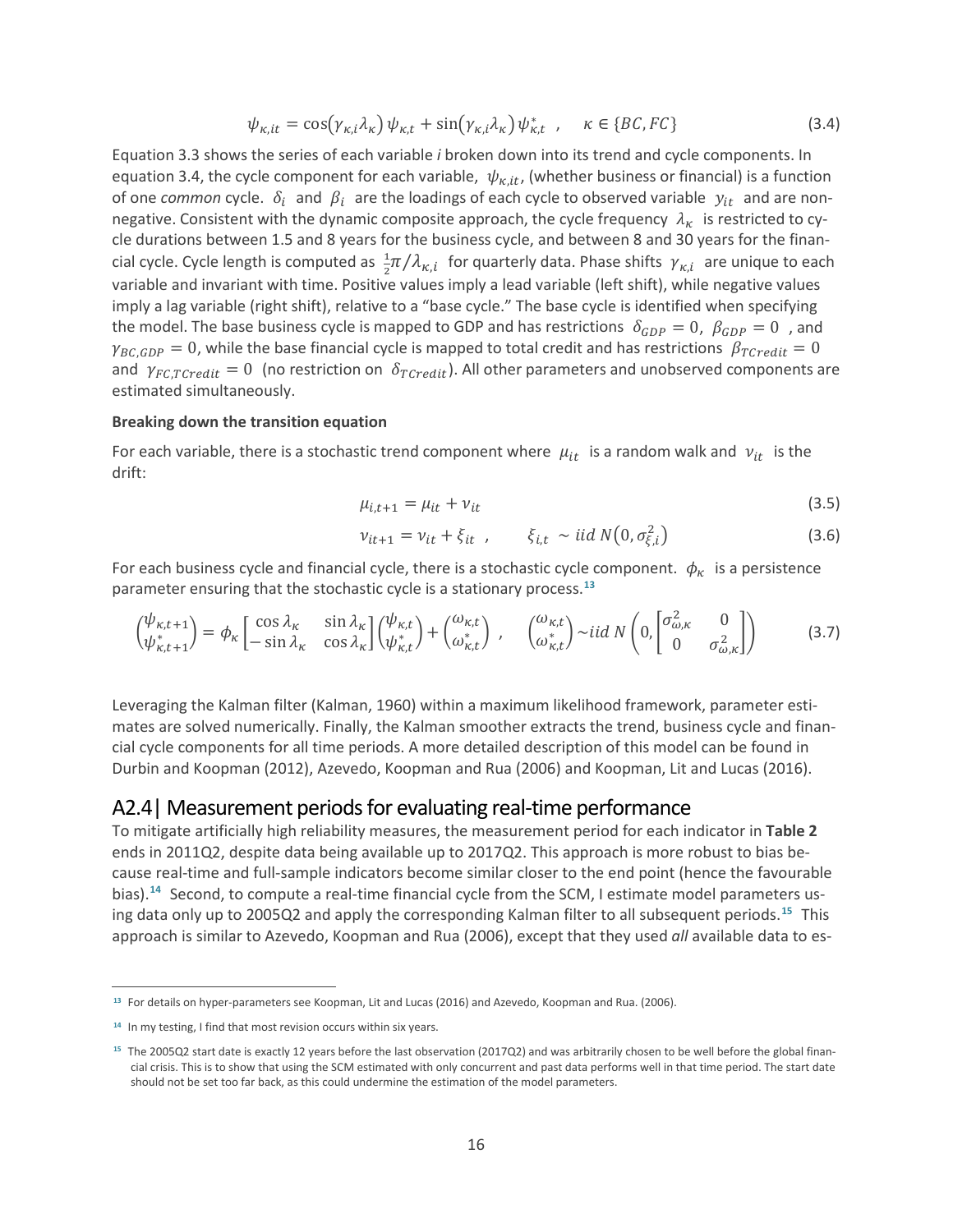$$
\psi_{\kappa, it} = \cos(\gamma_{\kappa, i} \lambda_{\kappa}) \psi_{\kappa, t} + \sin(\gamma_{\kappa, i} \lambda_{\kappa}) \psi_{\kappa, t}^*, \quad \kappa \in \{BC, FC\}
$$
\n(3.4)

Equation 3.3 shows the series of each variable *i* broken down into its trend and cycle components. In equation 3.4, the cycle component for each variable,  $\psi_{\kappa it}$ , (whether business or financial) is a function of one *common* cycle.  $\delta_i$  and  $\beta_i$  are the loadings of each cycle to observed variable  $y_{it}$  and are nonnegative. Consistent with the dynamic composite approach, the cycle frequency  $\lambda_{\kappa}$  is restricted to cycle durations between 1.5 and 8 years for the business cycle, and between 8 and 30 years for the financial cycle. Cycle length is computed as  $\frac{1}{2}\pi/\lambda_{\kappa,i}$  for quarterly data. Phase shifts  $\gamma_{\kappa,i}$  are unique to each variable and invariant with time. Positive values imply a lead variable (left shift), while negative values imply a lag variable (right shift), relative to a "base cycle." The base cycle is identified when specifying the model. The base business cycle is mapped to GDP and has restrictions  $\delta_{GDP} = 0$ ,  $\beta_{GDP} = 0$ , and  $\gamma_{BC, GDP} = 0$ , while the base financial cycle is mapped to total credit and has restrictions  $\beta_{TCredit} = 0$ and  $\gamma_{FC,TCredit} = 0$  (no restriction on  $\delta_{TCredit}$ ). All other parameters and unobserved components are estimated simultaneously.

#### **Breaking down the transition equation**

For each variable, there is a stochastic trend component where  $\mu_{it}$  is a random walk and  $v_{it}$  is the drift:

$$
\mu_{i,t+1} = \mu_{it} + \nu_{it} \tag{3.5}
$$

$$
v_{it+1} = v_{it} + \xi_{it} \t\t, \t\t \xi_{i,t} \sim \text{iid } N(0, \sigma_{\xi,i}^2)
$$
\n(3.6)

For each business cycle and financial cycle, there is a stochastic cycle component.  $\phi_{\kappa}$  is a persistence parameter ensuring that the stochastic cycle is a stationary process.**[13](#page-19-0)**

$$
\begin{pmatrix}\n\psi_{\kappa,t+1} \\
\psi_{\kappa,t+1}^*\n\end{pmatrix} = \phi_{\kappa} \begin{bmatrix}\n\cos \lambda_{\kappa} & \sin \lambda_{\kappa} \\
-\sin \lambda_{\kappa} & \cos \lambda_{\kappa}\n\end{bmatrix} \begin{pmatrix}\n\psi_{\kappa,t} \\
\psi_{\kappa,t}^*\n\end{pmatrix} + \begin{pmatrix}\n\omega_{\kappa,t} \\
\omega_{\kappa,t}^*\n\end{pmatrix}, \quad\n\begin{pmatrix}\n\omega_{\kappa,t} \\
\omega_{\kappa,t}^*\n\end{pmatrix} \sim \text{i} i d \, N \begin{pmatrix}\n0, \begin{bmatrix}\n\sigma_{\omega,\kappa}^2 & 0 \\
0 & \sigma_{\omega,\kappa}^2\n\end{bmatrix}\n\end{pmatrix}
$$
\n(3.7)

Leveraging the Kalman filter (Kalman, 1960) within a maximum likelihood framework, parameter estimates are solved numerically. Finally, the Kalman smoother extracts the trend, business cycle and financial cycle components for all time periods. A more detailed description of this model can be found in Durbin and Koopman (2012), Azevedo, Koopman and Rua (2006) and Koopman, Lit and Lucas (2016).

### A2.4| Measurement periods for evaluating real-time performance

To mitigate artificially high reliability measures, the measurement period for each indicator in **Table 2** ends in 2011Q2, despite data being available up to 2017Q2. This approach is more robust to bias because real-time and full-sample indicators become similar closer to the end point (hence the favourable bias).**[14](#page-19-1)** Second, to compute a real-time financial cycle from the SCM, I estimate model parameters using data only up to 2005Q2 and apply the corresponding Kalman filter to all subsequent periods.**[15](#page-19-2)** This approach is similar to Azevedo, Koopman and Rua (2006), except that they used *all* available data to es-

 $\overline{a}$ 

<span id="page-19-0"></span>**<sup>13</sup>** For details on hyper-parameters see Koopman, Lit and Lucas (2016) and Azevedo, Koopman and Rua. (2006).

<span id="page-19-1"></span>**<sup>14</sup>** In my testing, I find that most revision occurs within six years.

<span id="page-19-2"></span>**<sup>15</sup>** The 2005Q2 start date is exactly 12 years before the last observation (2017Q2) and was arbitrarily chosen to be well before the global financial crisis. This is to show that using the SCM estimated with only concurrent and past data performs well in that time period. The start date should not be set too far back, as this could undermine the estimation of the model parameters.